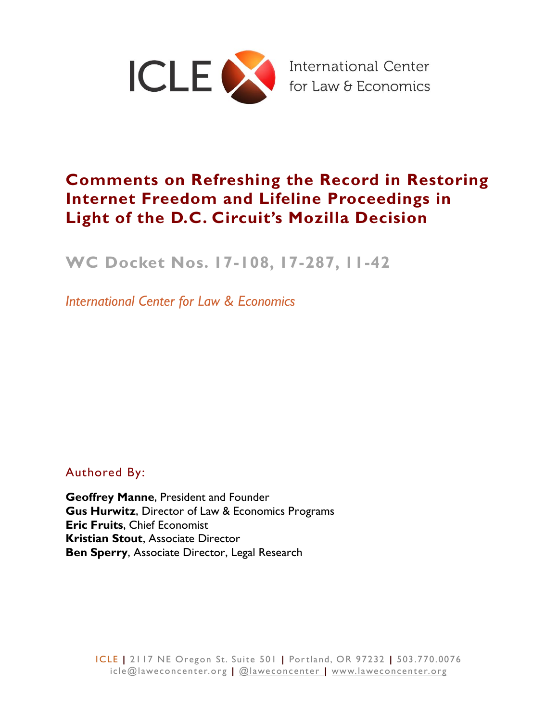

# **Comments on Refreshing the Record in Restoring Internet Freedom and Lifeline Proceedings in Light of the D.C. Circuit's Mozilla Decision**

**WC Docket Nos. 17-108, 17-287, 11-42**

*International Center for Law & Economics*

# Authored By:

**Geoffrey Manne**, President and Founder **Gus Hurwitz**, Director of Law & Economics Programs **Eric Fruits**, Chief Economist **Kristian Stout**, Associate Director **Ben Sperry**, Associate Director, Legal Research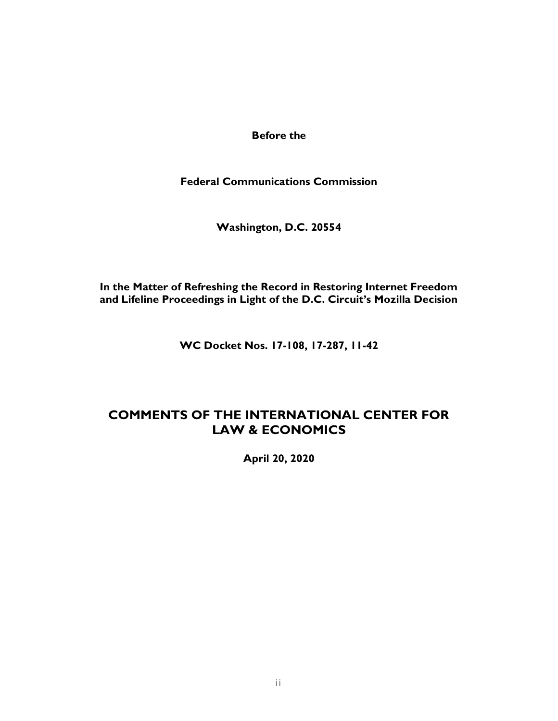**Before the**

**Federal Communications Commission**

**Washington, D.C. 20554**

**In the Matter of Refreshing the Record in Restoring Internet Freedom and Lifeline Proceedings in Light of the D.C. Circuit's Mozilla Decision**

**WC Docket Nos. 17-108, 17-287, 11-42**

# **COMMENTS OF THE INTERNATIONAL CENTER FOR LAW & ECONOMICS**

**April 20, 2020**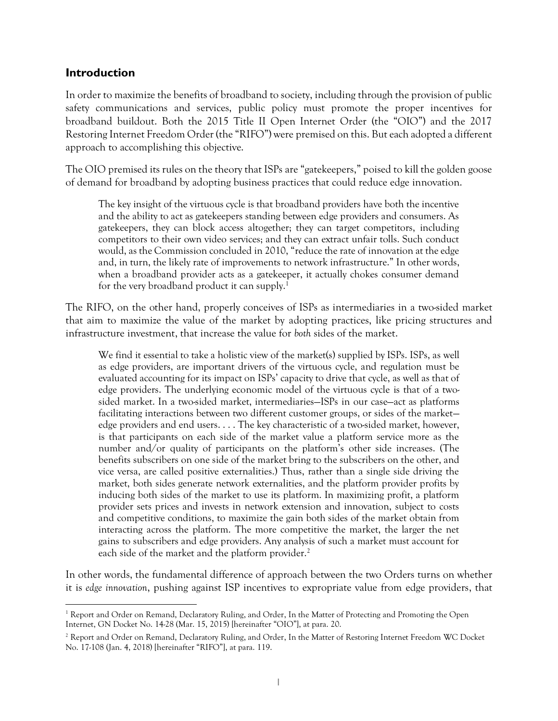## **Introduction**

In order to maximize the benefits of broadband to society, including through the provision of public safety communications and services, public policy must promote the proper incentives for broadband buildout. Both the 2015 Title II Open Internet Order (the "OIO") and the 2017 Restoring Internet Freedom Order (the "RIFO") were premised on this. But each adopted a different approach to accomplishing this objective.

The OIO premised its rules on the theory that ISPs are "gatekeepers," poised to kill the golden goose of demand for broadband by adopting business practices that could reduce edge innovation.

The key insight of the virtuous cycle is that broadband providers have both the incentive and the ability to act as gatekeepers standing between edge providers and consumers. As gatekeepers, they can block access altogether; they can target competitors, including competitors to their own video services; and they can extract unfair tolls. Such conduct would, as the Commission concluded in 2010, "reduce the rate of innovation at the edge and, in turn, the likely rate of improvements to network infrastructure." In other words, when a broadband provider acts as a gatekeeper, it actually chokes consumer demand for the very broadband product it can supply.<sup>1</sup>

The RIFO, on the other hand, properly conceives of ISPs as intermediaries in a two-sided market that aim to maximize the value of the market by adopting practices, like pricing structures and infrastructure investment, that increase the value for *both* sides of the market.

<span id="page-2-0"></span>We find it essential to take a holistic view of the market(s) supplied by ISPs. ISPs, as well as edge providers, are important drivers of the virtuous cycle, and regulation must be evaluated accounting for its impact on ISPs' capacity to drive that cycle, as well as that of edge providers. The underlying economic model of the virtuous cycle is that of a twosided market. In a two-sided market, intermediaries—ISPs in our case—act as platforms facilitating interactions between two different customer groups, or sides of the market edge providers and end users. . . . The key characteristic of a two-sided market, however, is that participants on each side of the market value a platform service more as the number and/or quality of participants on the platform's other side increases. (The benefits subscribers on one side of the market bring to the subscribers on the other, and vice versa, are called positive externalities.) Thus, rather than a single side driving the market, both sides generate network externalities, and the platform provider profits by inducing both sides of the market to use its platform. In maximizing profit, a platform provider sets prices and invests in network extension and innovation, subject to costs and competitive conditions, to maximize the gain both sides of the market obtain from interacting across the platform. The more competitive the market, the larger the net gains to subscribers and edge providers. Any analysis of such a market must account for each side of the market and the platform provider.<sup>2</sup>

<span id="page-2-1"></span>In other words, the fundamental difference of approach between the two Orders turns on whether it is *edge innovation*, pushing against ISP incentives to expropriate value from edge providers, that

<sup>&</sup>lt;sup>1</sup> Report and Order on Remand, Declaratory Ruling, and Order, In the Matter of Protecting and Promoting the Open Internet, GN Docket No. 14-28 (Mar. 15, 2015) [hereinafter "OIO"], at para. 20.

<sup>&</sup>lt;sup>2</sup> Report and Order on Remand, Declaratory Ruling, and Order, In the Matter of Restoring Internet Freedom WC Docket No. 17-108 (Jan. 4, 2018) [hereinafter "RIFO"], at para. 119.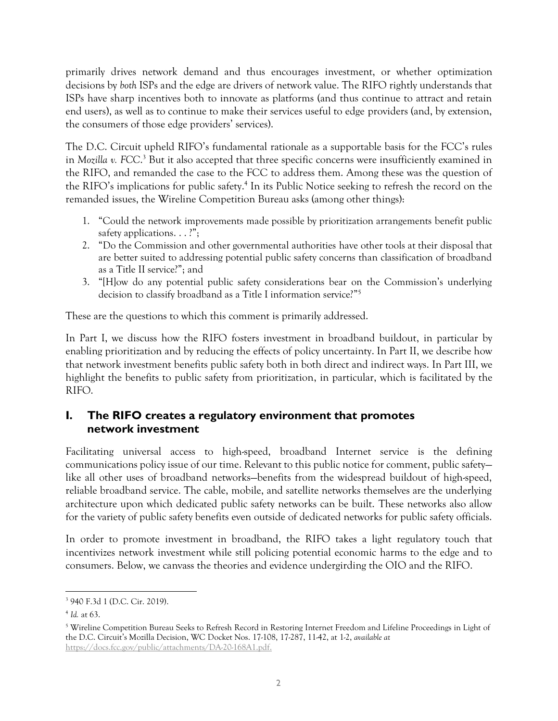primarily drives network demand and thus encourages investment, or whether optimization decisions by *both* ISPs and the edge are drivers of network value. The RIFO rightly understands that ISPs have sharp incentives both to innovate as platforms (and thus continue to attract and retain end users), as well as to continue to make their services useful to edge providers (and, by extension, the consumers of those edge providers' services).

<span id="page-3-0"></span>The D.C. Circuit upheld RIFO's fundamental rationale as a supportable basis for the FCC's rules in *Mozilla v. FCC*. <sup>3</sup> But it also accepted that three specific concerns were insufficiently examined in the RIFO, and remanded the case to the FCC to address them. Among these was the question of the RIFO's implications for public safety. 4 In its Public Notice seeking to refresh the record on the remanded issues, the Wireline Competition Bureau asks (among other things):

- 1. "Could the network improvements made possible by prioritization arrangements benefit public safety applications. . . ?";
- 2. "Do the Commission and other governmental authorities have other tools at their disposal that are better suited to addressing potential public safety concerns than classification of broadband as a Title II service?"; and
- 3. "[H]ow do any potential public safety considerations bear on the Commission's underlying decision to classify broadband as a Title I information service?" 5

These are the questions to which this comment is primarily addressed.

In Part I, we discuss how the RIFO fosters investment in broadband buildout, in particular by enabling prioritization and by reducing the effects of policy uncertainty. In Part II, we describe how that network investment benefits public safety both in both direct and indirect ways. In Part III, we highlight the benefits to public safety from prioritization, in particular, which is facilitated by the RIFO.

# **I. The RIFO creates a regulatory environment that promotes network investment**

Facilitating universal access to high-speed, broadband Internet service is the defining communications policy issue of our time. Relevant to this public notice for comment, public safety like all other uses of broadband networks—benefits from the widespread buildout of high-speed, reliable broadband service. The cable, mobile, and satellite networks themselves are the underlying architecture upon which dedicated public safety networks can be built. These networks also allow for the variety of public safety benefits even outside of dedicated networks for public safety officials.

In order to promote investment in broadband, the RIFO takes a light regulatory touch that incentivizes network investment while still policing potential economic harms to the edge and to consumers. Below, we canvass the theories and evidence undergirding the OIO and the RIFO.

<sup>3</sup> 940 F.3d 1 (D.C. Cir. 2019).

<sup>4</sup> *Id.* at 63.

<sup>5</sup> Wireline Competition Bureau Seeks to Refresh Record in Restoring Internet Freedom and Lifeline Proceedings in Light of the D.C. Circuit's Mozilla Decision, WC Docket Nos. 17-108, 17-287, 11-42, at 1-2, *available at*  [https://docs.fcc.gov/public/attachments/DA-20-168A1.pdf.](https://docs.fcc.gov/public/attachments/DA-20-168A1.pdf)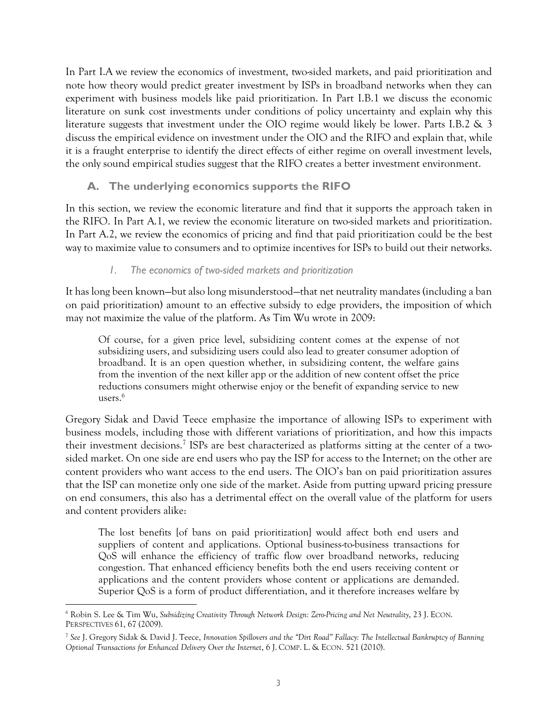In Part I.A we review the economics of investment, two-sided markets, and paid prioritization and note how theory would predict greater investment by ISPs in broadband networks when they can experiment with business models like paid prioritization. In Part I.B.1 we discuss the economic literature on sunk cost investments under conditions of policy uncertainty and explain why this literature suggests that investment under the OIO regime would likely be lower. Parts I.B.2 & 3 discuss the empirical evidence on investment under the OIO and the RIFO and explain that, while it is a fraught enterprise to identify the direct effects of either regime on overall investment levels, the only sound empirical studies suggest that the RIFO creates a better investment environment.

# **A. The underlying economics supports the RIFO**

In this section, we review the economic literature and find that it supports the approach taken in the RIFO. In Part A.1, we review the economic literature on two-sided markets and prioritization. In Part A.2, we review the economics of pricing and find that paid prioritization could be the best way to maximize value to consumers and to optimize incentives for ISPs to build out their networks.

#### *1. The economics of two-sided markets and prioritization*

It has long been known—but also long misunderstood—that net neutrality mandates (including a ban on paid prioritization) amount to an effective subsidy to edge providers, the imposition of which may not maximize the value of the platform. As Tim Wu wrote in 2009:

Of course, for a given price level, subsidizing content comes at the expense of not subsidizing users, and subsidizing users could also lead to greater consumer adoption of broadband. It is an open question whether, in subsidizing content, the welfare gains from the invention of the next killer app or the addition of new content offset the price reductions consumers might otherwise enjoy or the benefit of expanding service to new users.<sup>6</sup>

Gregory Sidak and David Teece emphasize the importance of allowing ISPs to experiment with business models, including those with different variations of prioritization, and how this impacts their investment decisions.<sup>7</sup> ISPs are best characterized as platforms sitting at the center of a twosided market. On one side are end users who pay the ISP for access to the Internet; on the other are content providers who want access to the end users. The OIO's ban on paid prioritization assures that the ISP can monetize only one side of the market. Aside from putting upward pricing pressure on end consumers, this also has a detrimental effect on the overall value of the platform for users and content providers alike:

The lost benefits [of bans on paid prioritization] would affect both end users and suppliers of content and applications. Optional business-to-business transactions for QoS will enhance the efficiency of traffic flow over broadband networks, reducing congestion. That enhanced efficiency benefits both the end users receiving content or applications and the content providers whose content or applications are demanded. Superior QoS is a form of product differentiation, and it therefore increases welfare by

<sup>6</sup> Robin S. Lee & Tim Wu, *Subsidizing Creativity Through Network Design: Zero-Pricing and Net Neutrality*, 23 J. ECON. PERSPECTIVES 61, 67 (2009).

<sup>7</sup> *See* J. Gregory Sidak & David J. Teece, *Innovation Spillovers and the "Dirt Road" Fallacy: The Intellectual Bankruptcy of Banning Optional Transactions for Enhanced Delivery Over the Internet*, 6 J. COMP. L. & ECON. 521 (2010).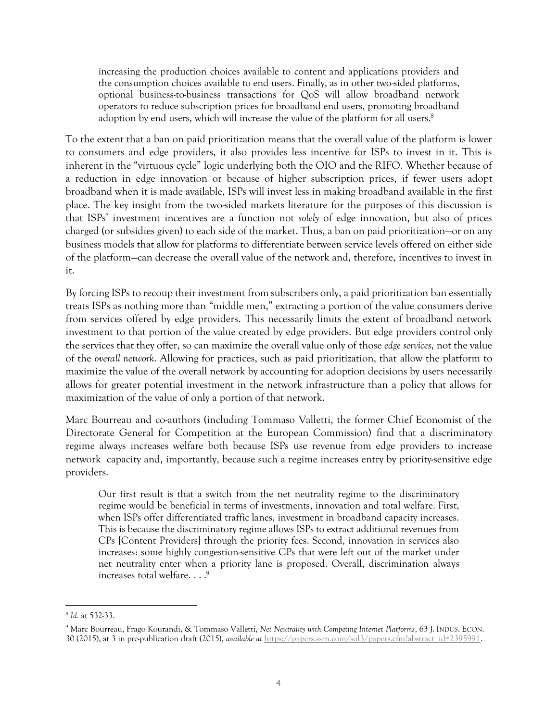increasing the production choices available to content and applications providers and the consumption choices available to end users. Finally, as in other two-sided platforms, optional business-to-business transactions for QoS will allow broadband network operators to reduce subscription prices for broadband end users, promoting broadband adoption by end users, which will increase the value of the platform for all users.<sup>8</sup>

To the extent that a ban on paid prioritization means that the overall value of the platform is lower to consumers and edge providers, it also provides less incentive for ISPs to invest in it. This is inherent in the "virtuous cycle" logic underlying both the OIO and the RIFO. Whether because of a reduction in edge innovation or because of higher subscription prices, if fewer users adopt broadband when it is made available, ISPs will invest less in making broadband available in the first place. The key insight from the two-sided markets literature for the purposes of this discussion is that ISPs' investment incentives are a function not *solely* of edge innovation, but also of prices charged (or subsidies given) to each side of the market. Thus, a ban on paid prioritization—or on any business models that allow for platforms to differentiate between service levels offered on either side of the platform—can decrease the overall value of the network and, therefore, incentives to invest in it.

By forcing ISPs to recoup their investment from subscribers only, a paid prioritization ban essentially treats ISPs as nothing more than "middle men," extracting a portion of the value consumers derive from services offered by edge providers. This necessarily limits the extent of broadband network investment to that portion of the value created by edge providers. But edge providers control only the services that they offer, so can maximize the overall value only of those *edge services*, not the value of the *overall network*. Allowing for practices, such as paid prioritization, that allow the platform to maximize the value of the overall network by accounting for adoption decisions by users necessarily allows for greater potential investment in the network infrastructure than a policy that allows for maximization of the value of only a portion of that network.

Marc Bourreau and co-authors (including Tommaso Valletti, the former Chief Economist of the Directorate General for Competition at the European Commission) find that a discriminatory regime always increases welfare both because ISPs use revenue from edge providers to increase network capacity and, importantly, because such a regime increases entry by priority-sensitive edge providers.

Our first result is that a switch from the net neutrality regime to the discriminatory regime would be beneficial in terms of investments, innovation and total welfare. First, when ISPs offer differentiated traffic lanes, investment in broadband capacity increases. This is because the discriminatory regime allows ISPs to extract additional revenues from CPs [Content Providers] through the priority fees. Second, innovation in services also increases: some highly congestion-sensitive CPs that were left out of the market under net neutrality enter when a priority lane is proposed. Overall, discrimination always increases total welfare. . . . 9

<sup>8</sup> *Id.* at 532-33.

<sup>9</sup> Marc Bourreau, Frago Kourandi, & Tommaso Valletti, *Net Neutrality with Competing Internet Platforms*, 63 J. INDUS. ECON. 30 (2015), at 3 in pre-publication draft (2015), *available at* [https://papers.ssrn.com/sol3/papers.cfm?abstract\\_id=2395991.](https://papers.ssrn.com/sol3/papers.cfm?abstract_id=2395991)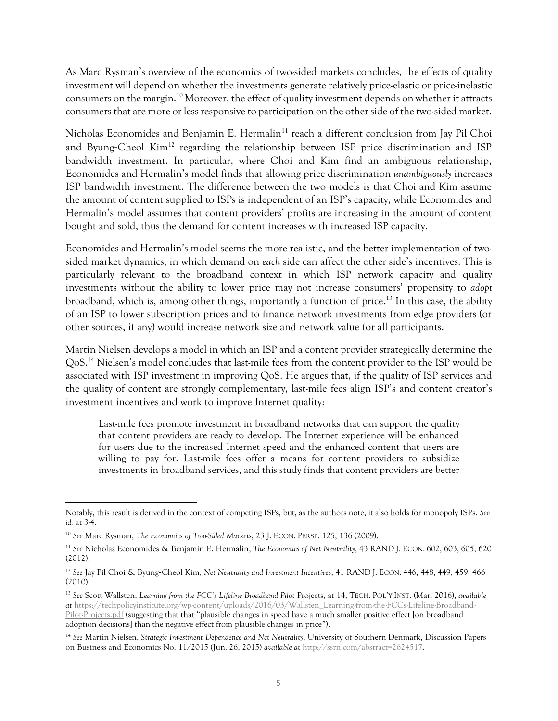As Marc Rysman's overview of the economics of two-sided markets concludes, the effects of quality investment will depend on whether the investments generate relatively price-elastic or price-inelastic consumers on the margin.<sup>10</sup> Moreover, the effect of quality investment depends on whether it attracts consumers that are more or less responsive to participation on the other side of the two-sided market.

Nicholas Economides and Benjamin E. Hermalin<sup>11</sup> reach a different conclusion from Jay Pil Choi and Byung-Cheol Kim<sup>12</sup> regarding the relationship between ISP price discrimination and ISP bandwidth investment. In particular, where Choi and Kim find an ambiguous relationship, Economides and Hermalin's model finds that allowing price discrimination *unambiguously* increases ISP bandwidth investment. The difference between the two models is that Choi and Kim assume the amount of content supplied to ISPs is independent of an ISP's capacity, while Economides and Hermalin's model assumes that content providers' profits are increasing in the amount of content bought and sold, thus the demand for content increases with increased ISP capacity.

Economides and Hermalin's model seems the more realistic, and the better implementation of twosided market dynamics, in which demand on *each* side can affect the other side's incentives. This is particularly relevant to the broadband context in which ISP network capacity and quality investments without the ability to lower price may not increase consumers' propensity to *adopt* broadband, which is, among other things, importantly a function of price. <sup>13</sup> In this case, the ability of an ISP to lower subscription prices and to finance network investments from edge providers (or other sources, if any) would increase network size and network value for all participants.

Martin Nielsen develops a model in which an ISP and a content provider strategically determine the QoS.<sup>14</sup> Nielsen's model concludes that last-mile fees from the content provider to the ISP would be associated with ISP investment in improving QoS. He argues that, if the quality of ISP services and the quality of content are strongly complementary, last-mile fees align ISP's and content creator's investment incentives and work to improve Internet quality:

Last-mile fees promote investment in broadband networks that can support the quality that content providers are ready to develop. The Internet experience will be enhanced for users due to the increased Internet speed and the enhanced content that users are willing to pay for. Last-mile fees offer a means for content providers to subsidize investments in broadband services, and this study finds that content providers are better

Notably, this result is derived in the context of competing ISPs, but, as the authors note, it also holds for monopoly ISPs. *See id.* at 3-4.

<sup>10</sup> *See* Marc Rysman, *The Economics of Two-Sided Markets*, 23 J. ECON. PERSP. 125, 136 (2009).

<sup>11</sup> *See* Nicholas Economides & Benjamin E. Hermalin, *The Economics of Net Neutrality*, 43 RAND J. ECON. 602, 603, 605, 620 (2012).

<sup>12</sup> *See* Jay Pil Choi & Byung‐Cheol Kim, *Net Neutrality and Investment Incentives*, 41 RAND J. ECON. 446, 448, 449, 459, 466 (2010).

<sup>13</sup> *See* Scott Wallsten, *Learning from the FCC's Lifeline Broadband Pilot* Projects, at 14, TECH. POL'Y INST. (Mar. 2016), *available at* [https://techpolicyinstitute.org/wp-content/uploads/2016/03/Wallsten\\_Learning-from-the-FCCs-Lifeline-Broadband-](https://techpolicyinstitute.org/wp-content/uploads/2016/03/Wallsten_Learning-from-the-FCCs-Lifeline-Broadband-Pilot-Projects.pdf)[Pilot-Projects.pdf](https://techpolicyinstitute.org/wp-content/uploads/2016/03/Wallsten_Learning-from-the-FCCs-Lifeline-Broadband-Pilot-Projects.pdf) (suggesting that that "plausible changes in speed have a much smaller positive effect [on broadband adoption decisions] than the negative effect from plausible changes in price").

<sup>14</sup> *See* Martin Nielsen, *Strategic Investment Dependence and Net Neutrality*, University of Southern Denmark, Discussion Papers on Business and Economics No. 11/2015 (Jun. 26, 2015) *available at* [http://ssrn.com/abstract=2624517.](http://ssrn.com/abstract=2624517)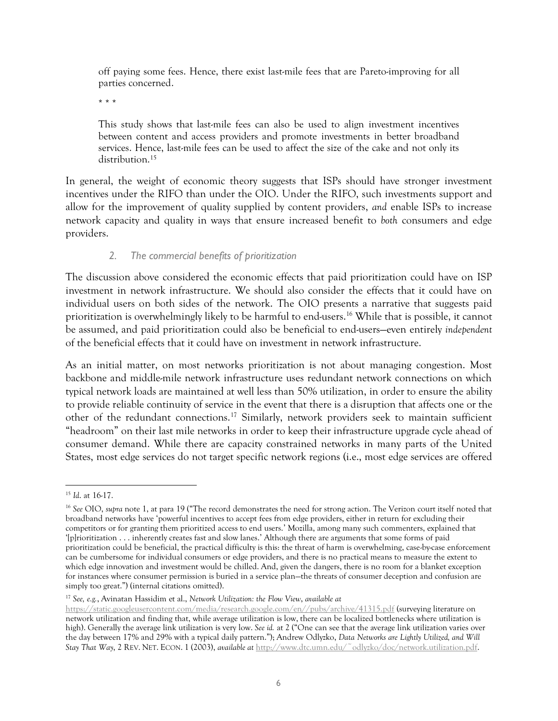off paying some fees. Hence, there exist last-mile fees that are Pareto-improving for all parties concerned.

\* \* \*

This study shows that last-mile fees can also be used to align investment incentives between content and access providers and promote investments in better broadband services. Hence, last-mile fees can be used to affect the size of the cake and not only its distribution.<sup>15</sup>

In general, the weight of economic theory suggests that ISPs should have stronger investment incentives under the RIFO than under the OIO. Under the RIFO, such investments support and allow for the improvement of quality supplied by content providers, *and* enable ISPs to increase network capacity and quality in ways that ensure increased benefit to *both* consumers and edge providers.

#### *2. The commercial benefits of prioritization*

The discussion above considered the economic effects that paid prioritization could have on ISP investment in network infrastructure. We should also consider the effects that it could have on individual users on both sides of the network. The OIO presents a narrative that suggests paid prioritization is overwhelmingly likely to be harmful to end-users.<sup>16</sup> While that is possible, it cannot be assumed, and paid prioritization could also be beneficial to end-users—even entirely *independent* of the beneficial effects that it could have on investment in network infrastructure.

As an initial matter, on most networks prioritization is not about managing congestion. Most backbone and middle-mile network infrastructure uses redundant network connections on which typical network loads are maintained at well less than 50% utilization, in order to ensure the ability to provide reliable continuity of service in the event that there is a disruption that affects one or the other of the redundant connections.<sup>17</sup> Similarly, network providers seek to maintain sufficient "headroom" on their last mile networks in order to keep their infrastructure upgrade cycle ahead of consumer demand. While there are capacity constrained networks in many parts of the United States, most edge services do not target specific network regions (i.e., most edge services are offered

<sup>15</sup> *Id*. at 16-17.

<sup>16</sup> *See* OIO, *supra* note [1,](#page-2-0) at para 19 ("The record demonstrates the need for strong action. The Verizon court itself noted that broadband networks have 'powerful incentives to accept fees from edge providers, either in return for excluding their competitors or for granting them prioritized access to end users.' Mozilla, among many such commenters, explained that '[p]rioritization . . . inherently creates fast and slow lanes.' Although there are arguments that some forms of paid prioritization could be beneficial, the practical difficulty is this: the threat of harm is overwhelming, case-by-case enforcement can be cumbersome for individual consumers or edge providers, and there is no practical means to measure the extent to which edge innovation and investment would be chilled. And, given the dangers, there is no room for a blanket exception for instances where consumer permission is buried in a service plan—the threats of consumer deception and confusion are simply too great.") (internal citations omitted).

<sup>17</sup> *See, e.g.*, Avinatan Hassidim et al., *Network Utilization: the Flow View*, *available at* 

[https://static.googleusercontent.com/media/research.google.com/en//pubs/archive/41315.pdf](https://static.googleusercontent.com/media/research.google.com/en/pubs/archive/41315.pdf) (surveying literature on network utilization and finding that, while average utilization is low, there can be localized bottlenecks where utilization is high). Generally the average link utilization is very low. *See id.* at 2 ("One can see that the average link utilization varies over the day between 17% and 29% with a typical daily pattern."); Andrew Odlyzko, *Data Networks are Lightly Utilized, and Will Stay That Way*, 2 REV. NET. ECON. 1 (2003), *available at* [http://www.dtc.umn.edu/~odlyzko/doc/network.utilization.pdf.](http://www.dtc.umn.edu/~odlyzko/doc/network.utilization.pdf)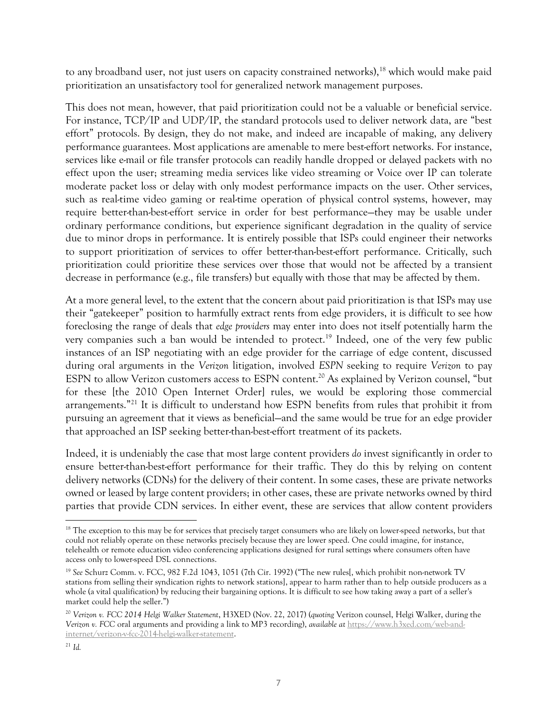to any broadband user, not just users on capacity constrained networks),<sup>18</sup> which would make paid prioritization an unsatisfactory tool for generalized network management purposes.

This does not mean, however, that paid prioritization could not be a valuable or beneficial service. For instance, TCP/IP and UDP/IP, the standard protocols used to deliver network data, are "best effort" protocols. By design, they do not make, and indeed are incapable of making, any delivery performance guarantees. Most applications are amenable to mere best-effort networks. For instance, services like e-mail or file transfer protocols can readily handle dropped or delayed packets with no effect upon the user; streaming media services like video streaming or Voice over IP can tolerate moderate packet loss or delay with only modest performance impacts on the user. Other services, such as real-time video gaming or real-time operation of physical control systems, however, may require better-than-best-effort service in order for best performance—they may be usable under ordinary performance conditions, but experience significant degradation in the quality of service due to minor drops in performance. It is entirely possible that ISPs could engineer their networks to support prioritization of services to offer better-than-best-effort performance. Critically, such prioritization could prioritize these services over those that would not be affected by a transient decrease in performance (e.g., file transfers) but equally with those that may be affected by them.

At a more general level, to the extent that the concern about paid prioritization is that ISPs may use their "gatekeeper" position to harmfully extract rents from edge providers, it is difficult to see how foreclosing the range of deals that *edge providers* may enter into does not itself potentially harm the very companies such a ban would be intended to protect.<sup>19</sup> Indeed, one of the very few public instances of an ISP negotiating with an edge provider for the carriage of edge content, discussed during oral arguments in the *Verizon* litigation, involved *ESPN* seeking to require *Verizon* to pay ESPN to allow Verizon customers access to ESPN content.<sup>20</sup> As explained by Verizon counsel, "but for these [the 2010 Open Internet Order] rules, we would be exploring those commercial arrangements."<sup>21</sup> It is difficult to understand how ESPN benefits from rules that prohibit it from pursuing an agreement that it views as beneficial—and the same would be true for an edge provider that approached an ISP seeking better-than-best-effort treatment of its packets.

Indeed, it is undeniably the case that most large content providers *do* invest significantly in order to ensure better-than-best-effort performance for their traffic. They do this by relying on content delivery networks (CDNs) for the delivery of their content. In some cases, these are private networks owned or leased by large content providers; in other cases, these are private networks owned by third parties that provide CDN services. In either event, these are services that allow content providers

<sup>&</sup>lt;sup>18</sup> The exception to this may be for services that precisely target consumers who are likely on lower-speed networks, but that could not reliably operate on these networks precisely because they are lower speed. One could imagine, for instance, telehealth or remote education video conferencing applications designed for rural settings where consumers often have access only to lower-speed DSL connections.

<sup>19</sup> *See* Schurz Comm. v. FCC, 982 F.2d 1043, 1051 (7th Cir. 1992) ("The new rules[, which prohibit non-network TV stations from selling their syndication rights to network stations], appear to harm rather than to help outside producers as a whole (a vital qualification) by reducing their bargaining options. It is difficult to see how taking away a part of a seller's market could help the seller.")

<sup>20</sup> *Verizon v. FCC 2014 Helgi Walker Statement*, H3XED (Nov. 22, 2017) (*quoting* Verizon counsel, Helgi Walker, during the *Verizon v. FCC* oral arguments and providing a link to MP3 recording), *available at* [https://www.h3xed.com/web-and](https://www.h3xed.com/web-and-internet/verizon-v-fcc-2014-helgi-walker-statement)[internet/verizon-v-fcc-2014-helgi-walker-statement.](https://www.h3xed.com/web-and-internet/verizon-v-fcc-2014-helgi-walker-statement)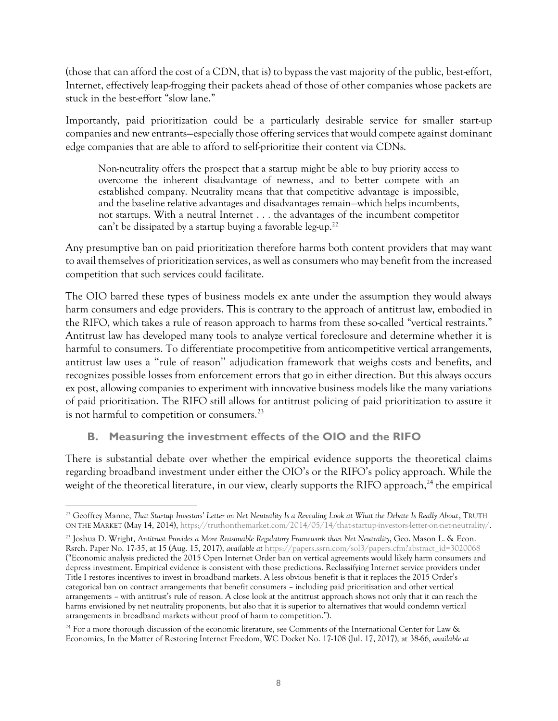(those that can afford the cost of a CDN, that is) to bypass the vast majority of the public, best-effort, Internet, effectively leap-frogging their packets ahead of those of other companies whose packets are stuck in the best-effort "slow lane."

Importantly, paid prioritization could be a particularly desirable service for smaller start-up companies and new entrants—especially those offering services that would compete against dominant edge companies that are able to afford to self-prioritize their content via CDNs.

Non-neutrality offers the prospect that a startup might be able to buy priority access to overcome the inherent disadvantage of newness, and to better compete with an established company. Neutrality means that that competitive advantage is impossible, and the baseline relative advantages and disadvantages remain—which helps incumbents, not startups. With a neutral Internet . . . the advantages of the incumbent competitor can't be dissipated by a startup buying a favorable leg-up. 22

Any presumptive ban on paid prioritization therefore harms both content providers that may want to avail themselves of prioritization services, as well as consumers who may benefit from the increased competition that such services could facilitate.

The OIO barred these types of business models ex ante under the assumption they would always harm consumers and edge providers. This is contrary to the approach of antitrust law, embodied in the RIFO, which takes a rule of reason approach to harms from these so-called "vertical restraints." Antitrust law has developed many tools to analyze vertical foreclosure and determine whether it is harmful to consumers. To differentiate procompetitive from anticompetitive vertical arrangements, antitrust law uses a ''rule of reason'' adjudication framework that weighs costs and benefits, and recognizes possible losses from enforcement errors that go in either direction. But this always occurs ex post, allowing companies to experiment with innovative business models like the many variations of paid prioritization. The RIFO still allows for antitrust policing of paid prioritization to assure it is not harmful to competition or consumers.<sup>23</sup>

# <span id="page-9-0"></span>**B. Measuring the investment effects of the OIO and the RIFO**

There is substantial debate over whether the empirical evidence supports the theoretical claims regarding broadband investment under either the OIO's or the RIFO's policy approach. While the weight of the theoretical literature, in our view, clearly supports the RIFO approach, $^{24}$  the empirical

<sup>&</sup>lt;sup>22</sup> Geoffrey Manne, *That Startup Investors' Letter on Net Neutrality Is a Revealing Look at What the Debate Is Really About, TRUTH* ON THE MARKET (May 14, 2014)[, https://truthonthemarket.com/2014/05/14/that-startup-investors-letter-on-net-neutrality/.](https://truthonthemarket.com/2014/05/14/that-startup-investors-letter-on-net-neutrality/)

<sup>23</sup> Joshua D. Wright, *Antitrust Provides a More Reasonable Regulatory Framework than Net Neutrality*, Geo. Mason L. & Econ. Rsrch. Paper No. 17-35, at 15 (Aug. 15, 2017), *available at* [https://papers.ssrn.com/sol3/papers.cfm?abstract\\_id=3020068](https://papers.ssrn.com/sol3/papers.cfm?abstract_id=3020068) ("Economic analysis predicted the 2015 Open Internet Order ban on vertical agreements would likely harm consumers and depress investment. Empirical evidence is consistent with those predictions. Reclassifying Internet service providers under Title I restores incentives to invest in broadband markets. A less obvious benefit is that it replaces the 2015 Order's categorical ban on contract arrangements that benefit consumers – including paid prioritization and other vertical arrangements – with antitrust's rule of reason. A close look at the antitrust approach shows not only that it can reach the harms envisioned by net neutrality proponents, but also that it is superior to alternatives that would condemn vertical arrangements in broadband markets without proof of harm to competition.").

<sup>&</sup>lt;sup>24</sup> For a more thorough discussion of the economic literature, see Comments of the International Center for Law & Economics, In the Matter of Restoring Internet Freedom, WC Docket No. 17-108 (Jul. 17, 2017), at 38-66, *available at*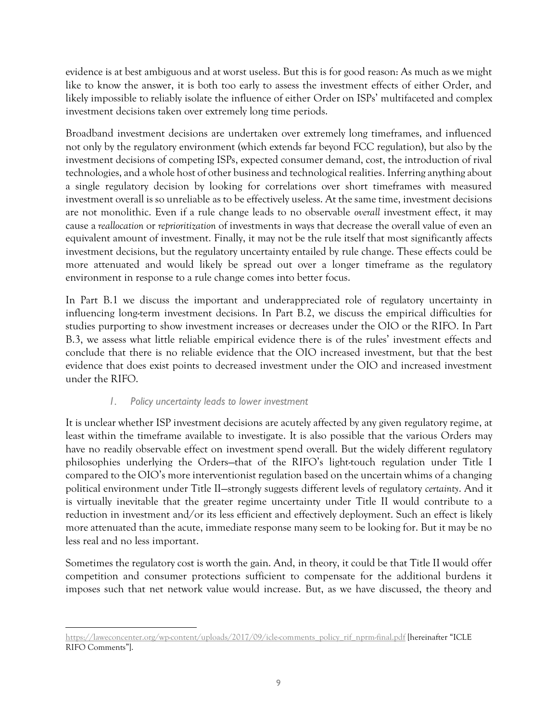evidence is at best ambiguous and at worst useless. But this is for good reason: As much as we might like to know the answer, it is both too early to assess the investment effects of either Order, and likely impossible to reliably isolate the influence of either Order on ISPs' multifaceted and complex investment decisions taken over extremely long time periods.

Broadband investment decisions are undertaken over extremely long timeframes, and influenced not only by the regulatory environment (which extends far beyond FCC regulation), but also by the investment decisions of competing ISPs, expected consumer demand, cost, the introduction of rival technologies, and a whole host of other business and technological realities. Inferring anything about a single regulatory decision by looking for correlations over short timeframes with measured investment overall is so unreliable as to be effectively useless. At the same time, investment decisions are not monolithic. Even if a rule change leads to no observable *overall* investment effect, it may cause a *reallocation* or *reprioritization* of investments in ways that decrease the overall value of even an equivalent amount of investment. Finally, it may not be the rule itself that most significantly affects investment decisions, but the regulatory uncertainty entailed by rule change. These effects could be more attenuated and would likely be spread out over a longer timeframe as the regulatory environment in response to a rule change comes into better focus.

In Part B.1 we discuss the important and underappreciated role of regulatory uncertainty in influencing long-term investment decisions. In Part B.2, we discuss the empirical difficulties for studies purporting to show investment increases or decreases under the OIO or the RIFO. In Part B.3, we assess what little reliable empirical evidence there is of the rules' investment effects and conclude that there is no reliable evidence that the OIO increased investment, but that the best evidence that does exist points to decreased investment under the OIO and increased investment under the RIFO.

# *1. Policy uncertainty leads to lower investment*

<span id="page-10-0"></span>It is unclear whether ISP investment decisions are acutely affected by any given regulatory regime, at least within the timeframe available to investigate. It is also possible that the various Orders may have no readily observable effect on investment spend overall. But the widely different regulatory philosophies underlying the Orders—that of the RIFO's light-touch regulation under Title I compared to the OIO's more interventionist regulation based on the uncertain whims of a changing political environment under Title II—strongly suggests different levels of regulatory *certainty*. And it is virtually inevitable that the greater regime uncertainty under Title II would contribute to a reduction in investment and/or its less efficient and effectively deployment. Such an effect is likely more attenuated than the acute, immediate response many seem to be looking for. But it may be no less real and no less important.

Sometimes the regulatory cost is worth the gain. And, in theory, it could be that Title II would offer competition and consumer protections sufficient to compensate for the additional burdens it imposes such that net network value would increase. But, as we have discussed, the theory and

[https://laweconcenter.org/wp-content/uploads/2017/09/icle-comments\\_policy\\_rif\\_nprm-final.pdf](https://laweconcenter.org/wp-content/uploads/2017/09/icle-comments_policy_rif_nprm-final.pdf) [hereinafter "ICLE RIFO Comments"].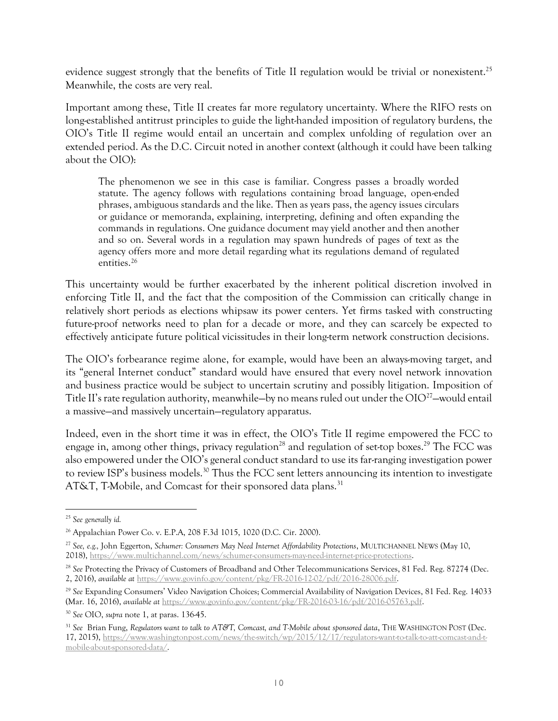evidence suggest strongly that the benefits of Title II regulation would be trivial or nonexistent.<sup>25</sup> Meanwhile, the costs are very real.

Important among these, Title II creates far more regulatory uncertainty. Where the RIFO rests on long-established antitrust principles to guide the light-handed imposition of regulatory burdens, the OIO's Title II regime would entail an uncertain and complex unfolding of regulation over an extended period. As the D.C. Circuit noted in another context (although it could have been talking about the OIO):

The phenomenon we see in this case is familiar. Congress passes a broadly worded statute. The agency follows with regulations containing broad language, open-ended phrases, ambiguous standards and the like. Then as years pass, the agency issues circulars or guidance or memoranda, explaining, interpreting, defining and often expanding the commands in regulations. One guidance document may yield another and then another and so on. Several words in a regulation may spawn hundreds of pages of text as the agency offers more and more detail regarding what its regulations demand of regulated entities.<sup>26</sup>

This uncertainty would be further exacerbated by the inherent political discretion involved in enforcing Title II, and the fact that the composition of the Commission can critically change in relatively short periods as elections whipsaw its power centers. Yet firms tasked with constructing future-proof networks need to plan for a decade or more, and they can scarcely be expected to effectively anticipate future political vicissitudes in their long-term network construction decisions.

The OIO's forbearance regime alone, for example, would have been an always-moving target, and its "general Internet conduct" standard would have ensured that every novel network innovation and business practice would be subject to uncertain scrutiny and possibly litigation. Imposition of Title II's rate regulation authority, meanwhile—by no means ruled out under the  $OIO^{27}$ —would entail a massive—and massively uncertain—regulatory apparatus.

Indeed, even in the short time it was in effect, the OIO's Title II regime empowered the FCC to engage in, among other things, privacy regulation<sup>28</sup> and regulation of set-top boxes.<sup>29</sup> The FCC was also empowered under the OIO's general conduct standard to use its far-ranging investigation power to review ISP's business models.<sup>30</sup> Thus the FCC sent letters announcing its intention to investigate AT&T, T-Mobile, and Comcast for their sponsored data plans.<sup>31</sup>

<sup>25</sup> *See generally id.*

<sup>26</sup> Appalachian Power Co. v. E.P.A, 208 F.3d 1015, 1020 (D.C. Cir. 2000).

<sup>27</sup> *See, e.g.,* John Eggerton, *Schumer: Consumers May Need Internet Affordability Protections*, MULTICHANNEL NEWS (May 10, 2018)[, https://www.multichannel.com/news/schumer-consumers-may-need-internet-price-protections.](https://www.multichannel.com/news/schumer-consumers-may-need-internet-price-protections)

<sup>28</sup> *See* Protecting the Privacy of Customers of Broadband and Other Telecommunications Services, 81 Fed. Reg. 87274 (Dec. 2, 2016), *available at* [https://www.govinfo.gov/content/pkg/FR-2016-12-02/pdf/2016-28006.pdf.](https://www.govinfo.gov/content/pkg/FR-2016-12-02/pdf/2016-28006.pdf) 

<sup>29</sup> *See* Expanding Consumers' Video Navigation Choices; Commercial Availability of Navigation Devices, 81 Fed. Reg. 14033 (Mar. 16, 2016), *available at* [https://www.govinfo.gov/content/pkg/FR-2016-03-16/pdf/2016-05763.pdf.](https://www.govinfo.gov/content/pkg/FR-2016-03-16/pdf/2016-05763.pdf)

<sup>30</sup> *See* OIO, *supra* note [1,](#page-2-0) at paras. 136-45.

<sup>31</sup> *See* Brian Fung, *Regulators want to talk to AT&T, Comcast, and T-Mobile about sponsored data*, THE WASHINGTON POST (Dec. 17, 2015)[, https://www.washingtonpost.com/news/the-switch/wp/2015/12/17/regulators-want-to-talk-to-att-comcast-and-t](https://www.washingtonpost.com/news/the-switch/wp/2015/12/17/regulators-want-to-talk-to-att-comcast-and-t-mobile-about-sponsored-data/)[mobile-about-sponsored-data/.](https://www.washingtonpost.com/news/the-switch/wp/2015/12/17/regulators-want-to-talk-to-att-comcast-and-t-mobile-about-sponsored-data/)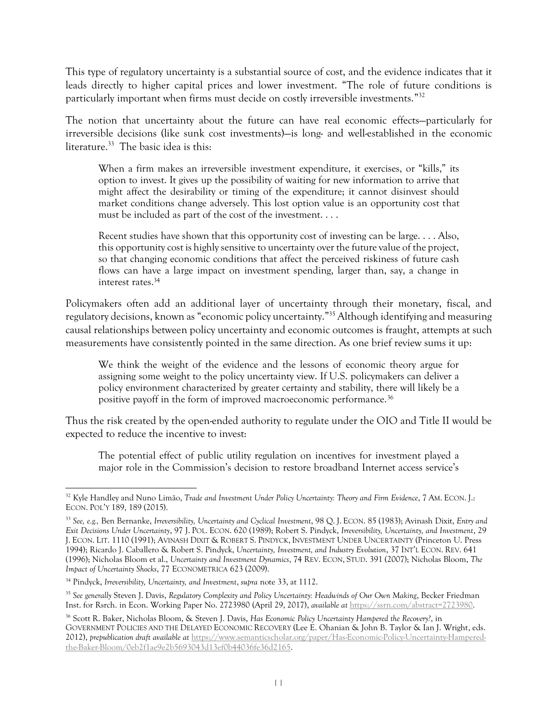This type of regulatory uncertainty is a substantial source of cost, and the evidence indicates that it leads directly to higher capital prices and lower investment. "The role of future conditions is particularly important when firms must decide on costly irreversible investments." 32

The notion that uncertainty about the future can have real economic effects—particularly for irreversible decisions (like sunk cost investments)—is long- and well-established in the economic literature.<sup>33</sup> The basic idea is this:

<span id="page-12-0"></span>When a firm makes an irreversible investment expenditure, it exercises, or "kills," its option to invest. It gives up the possibility of waiting for new information to arrive that might affect the desirability or timing of the expenditure; it cannot disinvest should market conditions change adversely. This lost option value is an opportunity cost that must be included as part of the cost of the investment. . . .

Recent studies have shown that this opportunity cost of investing can be large. . . . Also, this opportunity cost is highly sensitive to uncertainty over the future value of the project, so that changing economic conditions that affect the perceived riskiness of future cash flows can have a large impact on investment spending, larger than, say, a change in interest rates.<sup>34</sup>

Policymakers often add an additional layer of uncertainty through their monetary, fiscal, and regulatory decisions, known as "economic policy uncertainty."<sup>35</sup> Although identifying and measuring causal relationships between policy uncertainty and economic outcomes is fraught, attempts at such measurements have consistently pointed in the same direction. As one brief review sums it up:

We think the weight of the evidence and the lessons of economic theory argue for assigning some weight to the policy uncertainty view. If U.S. policymakers can deliver a policy environment characterized by greater certainty and stability, there will likely be a positive payoff in the form of improved macroeconomic performance.<sup>36</sup>

Thus the risk created by the open-ended authority to regulate under the OIO and Title II would be expected to reduce the incentive to invest:

The potential effect of public utility regulation on incentives for investment played a major role in the Commission's decision to restore broadband Internet access service's

<sup>32</sup> Kyle Handley and Nuno Limão, *Trade and Investment Under Policy Uncertainty: Theory and Firm Evidence*, 7 AM. ECON. J.: ECON. POL'Y 189, 189 (2015).

<sup>33</sup> *See, e.g.,* Ben Bernanke, *Irreversibility, Uncertainty and Cyclical Investment*, 98 Q. J. ECON. 85 (1983); Avinash Dixit, *Entry and Exit Decisions Under Uncertainty*, 97 J. POL. ECON. 620 (1989); Robert S. Pindyck, *Irreversibility, Uncertainty, and Investment*, 29 J. ECON. LIT. 1110 (1991); AVINASH DIXIT & ROBERT S. PINDYCK, INVESTMENT UNDER UNCERTAINTY (Princeton U. Press 1994); Ricardo J. Caballero & Robert S. Pindyck, *Uncertainty, Investment, and Industry Evolution*, 37 INT'L ECON. REV. 641 (1996); Nicholas Bloom et al., *Uncertainty and Investment Dynamics*, 74 REV. ECON, STUD. 391 (2007); Nicholas Bloom, *The Impact of Uncertainty Shocks*, 77 ECONOMETRICA 623 (2009).

<sup>34</sup> Pindyck, *Irreversibility, Uncertainty, and Investment*, *supra* note [33,](#page-12-0) at 1112.

<sup>35</sup> *See generally* Steven J. Davis, *Regulatory Complexity and Policy Uncertainty: Headwinds of Our Own Making*, Becker Friedman Inst. for Rsrch. in Econ. Working Paper No. 2723980 (April 29, 2017), *available at* [https://ssrn.com/abstract=2723980.](https://ssrn.com/abstract=2723980)

<sup>36</sup> Scott R. Baker, Nicholas Bloom, & Steven J. Davis, *Has Economic Policy Uncertainty Hampered the Recovery?*, in GOVERNMENT POLICIES AND THE DELAYED ECONOMIC RECOVERY (Lee E. Ohanian & John B. Taylor & Ian J. Wright, eds. 2012), *prepublication draft available at* [https://www.semanticscholar.org/paper/Has-Economic-Policy-Uncertainty-Hampered](https://www.semanticscholar.org/paper/Has-Economic-Policy-Uncertainty-Hampered-the-Baker-Bloom/0eb2f1ae9e2b5693043d13ef0b44036fe36d2165)[the-Baker-Bloom/0eb2f1ae9e2b5693043d13ef0b44036fe36d2165.](https://www.semanticscholar.org/paper/Has-Economic-Policy-Uncertainty-Hampered-the-Baker-Bloom/0eb2f1ae9e2b5693043d13ef0b44036fe36d2165)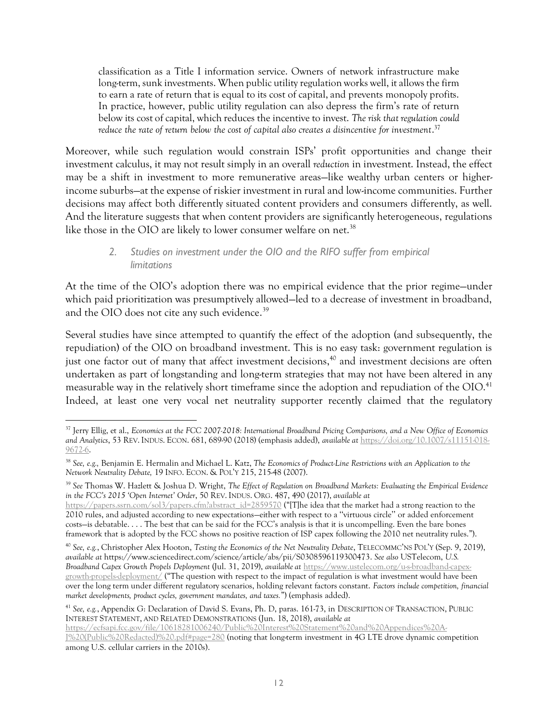classification as a Title I information service. Owners of network infrastructure make long-term, sunk investments. When public utility regulation works well, it allows the firm to earn a rate of return that is equal to its cost of capital, and prevents monopoly profits. In practice, however, public utility regulation can also depress the firm's rate of return below its cost of capital, which reduces the incentive to invest. *The risk that regulation could reduce the rate of return below the cost of capital also creates a disincentive for investment*. 37

Moreover, while such regulation would constrain ISPs' profit opportunities and change their investment calculus, it may not result simply in an overall *reduction* in investment. Instead, the effect may be a shift in investment to more remunerative areas—like wealthy urban centers or higherincome suburbs—at the expense of riskier investment in rural and low-income communities. Further decisions may affect both differently situated content providers and consumers differently, as well. And the literature suggests that when content providers are significantly heterogeneous, regulations like those in the OIO are likely to lower consumer welfare on net.<sup>38</sup>

#### <span id="page-13-1"></span><span id="page-13-0"></span>*2. Studies on investment under the OIO and the RIFO suffer from empirical limitations*

At the time of the OIO's adoption there was no empirical evidence that the prior regime—under which paid prioritization was presumptively allowed—led to a decrease of investment in broadband, and the OIO does not cite any such evidence.<sup>39</sup>

Several studies have since attempted to quantify the effect of the adoption (and subsequently, the repudiation) of the OIO on broadband investment. This is no easy task: government regulation is just one factor out of many that affect investment decisions, <sup>40</sup> and investment decisions are often undertaken as part of longstanding and long-term strategies that may not have been altered in any measurable way in the relatively short timeframe since the adoption and repudiation of the OIO.<sup>41</sup> Indeed, at least one very vocal net neutrality supporter recently claimed that the regulatory

[https://ecfsapi.fcc.gov/file/10618281006240/Public%20Interest%20Statement%20and%20Appendices%20A-](https://ecfsapi.fcc.gov/file/10618281006240/Public%20Interest%20Statement%20and%20Appendices%20A-J%20(Public%20Redacted)%20.pdf#page=280)[J%20\(Public%20Redacted\)%20.pdf#page=280](https://ecfsapi.fcc.gov/file/10618281006240/Public%20Interest%20Statement%20and%20Appendices%20A-J%20(Public%20Redacted)%20.pdf#page=280) (noting that long-term investment in 4G LTE drove dynamic competition among U.S. cellular carriers in the 2010s).

<sup>37</sup> Jerry Ellig, et al., *Economics at the FCC 2007-2018: International Broadband Pricing Comparisons, and a New Office of Economics and Analytics*, 53 REV. INDUS. ECON. 681, 689-90 (2018) (emphasis added), *available at* [https://doi.org/10.1007/s11151-018-](https://doi.org/10.1007/s11151-018-9672-6) [9672-6.](https://doi.org/10.1007/s11151-018-9672-6) 

<sup>38</sup> *See, e.g.,* Benjamin E. Hermalin and Michael L. Katz, *The Economics of Product-Line Restrictions with an Application to the Network Neutrality Debate,* 19 INFO. ECON. & POL'Y 215, 215-48 (2007).

<sup>39</sup> *See* Thomas W. Hazlett & Joshua D. Wright, *The Effect of Regulation on Broadband Markets: Evaluating the Empirical Evidence in the FCC's 2015 'Open Internet' Order*, 50 REV. INDUS. ORG. 487, 490 (2017), *available at* 

[https://papers.ssrn.com/sol3/papers.cfm?abstract\\_id=2859570](https://papers.ssrn.com/sol3/papers.cfm?abstract_id=2859570) ("[T]he idea that the market had a strong reaction to the 2010 rules, and adjusted according to new expectations—either with respect to a ''virtuous circle'' or added enforcement costs—is debatable. . . . The best that can be said for the FCC's analysis is that it is uncompelling. Even the bare bones framework that is adopted by the FCC shows no positive reaction of ISP capex following the 2010 net neutrality rules.").

<sup>40</sup> *See, e.g.*, Christopher Alex Hooton, *Testing the Economics of the Net Neutrality Debate*, TELECOMMC'NS POL'Y (Sep. 9, 2019), *available at* https://www.sciencedirect.com/science/article/abs/pii/S0308596119300473. *See also* USTelecom, *U.S. Broadband Capex Growth Propels Deployment* (Jul. 31, 2019), *available at* [https://www.ustelecom.org/u-s-broadband-capex](https://www.ustelecom.org/u-s-broadband-capex-growth-propels-deployment/)[growth-propels-deployment/](https://www.ustelecom.org/u-s-broadband-capex-growth-propels-deployment/) ("The question with respect to the impact of regulation is what investment would have been over the long term under different regulatory scenarios, holding relevant factors constant. *Factors include competition, financial market developments, product cycles, government mandates, and taxes.*") (emphasis added).

<sup>41</sup> *See, e.g.*, Appendix G: Declaration of David S. Evans, Ph. D, paras. 161-73, in DESCRIPTION OF TRANSACTION, PUBLIC INTEREST STATEMENT, AND RELATED DEMONSTRATIONS (Jun. 18, 2018), *available at*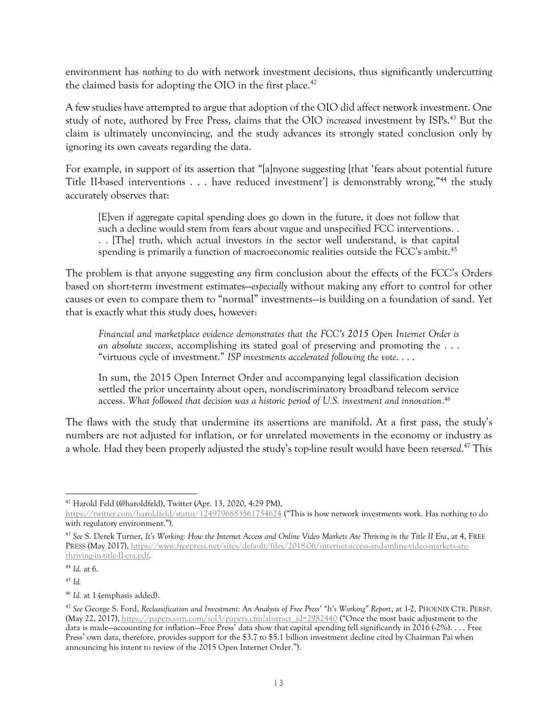environment has *nothing* to do with network investment decisions, thus significantly undercutting the claimed basis for adopting the OIO in the first place.<sup>42</sup>

A few studies have attempted to argue that adoption of the OIO did affect network investment. One study of note, authored by Free Press, claims that the OIO *increased* investment by ISPs.<sup>43</sup> But the claim is ultimately unconvincing, and the study advances its strongly stated conclusion only by ignoring its own caveats regarding the data.

For example, in support of its assertion that "[a]nyone suggesting [that 'fears about potential future Title II-based interventions . . . have reduced investment' is demonstrably wrong,"<sup>44</sup> the study accurately observes that:

<span id="page-14-0"></span>[E]ven if aggregate capital spending does go down in the future, it does not follow that such a decline would stem from fears about vague and unspecified FCC interventions. . . . [The] truth, which actual investors in the sector well understand, is that capital spending is primarily a function of macroeconomic realities outside the FCC's ambit.<sup>45</sup>

The problem is that anyone suggesting *any* firm conclusion about the effects of the FCC's Orders based on short-term investment estimates—*especially* without making any effort to control for other causes or even to compare them to "normal" investments—is building on a foundation of sand. Yet that is exactly what this study does, however:

*Financial and marketplace evidence demonstrates that the FCC's 2015 Open Internet Order is an absolute success*, accomplishing its stated goal of preserving and promoting the . . . "virtuous cycle of investment." *ISP investments accelerated following the vote*. . . .

In sum, the 2015 Open Internet Order and accompanying legal classification decision settled the prior uncertainty about open, nondiscriminatory broadband telecom service access. *What followed that decision was a historic period of U.S. investment and innovation*. 46

The flaws with the study that undermine its assertions are manifold. At a first pass, the study's numbers are not adjusted for inflation, or for unrelated movements in the economy or industry as a whole. Had they been properly adjusted the study's top-line result would have been *reversed*. <sup>47</sup> This

<sup>42</sup> Harold Feld (@haroldfeld), Twitter (Apr. 13, 2020, 4:29 PM),

<https://twitter.com/haroldfeld/status/1249796883561754624> ("This is how network investments work. Has nothing to do with regulatory environment.").

<sup>43</sup> *See* S. Derek Turner, *It's Working: How the Internet Access and Online Video Markets Are Thriving in the Title II Era*, at 4, FREE PRESS (May 2017)[, https://www.freepress.net/sites/default/files/2018-06/internet-access-and-online-video-markets-are](https://www.freepress.net/sites/default/files/2018-06/internet-access-and-online-video-markets-are-thriving-in-title-II-era.pdf)[thriving-in-title-II-era.pdf.](https://www.freepress.net/sites/default/files/2018-06/internet-access-and-online-video-markets-are-thriving-in-title-II-era.pdf)

<sup>44</sup> *Id.* at 6.

<sup>45</sup> *Id.*

<sup>46</sup> *Id.* at 1 (emphasis added).

<sup>47</sup> *See* George S. Ford, *Reclassification and Investment: An Analysis of Free Press' "It's Working" Report*, at 1-2, PHOENIX CTR. PERSP. (May 22, 2017)[, https://papers.ssrn.com/sol3/papers.cfm?abstract\\_id=2982440](https://papers.ssrn.com/sol3/papers.cfm?abstract_id=2982440) ("Once the most basic adjustment to the data is made—accounting for inflation—Free Press' data show that capital spending fell significantly in 2016 (-2%). . . . Free Press' own data, therefore, provides support for the \$3.7 to \$5.1 billion investment decline cited by Chairman Pai when announcing his intent to review of the 2015 Open Internet Order.").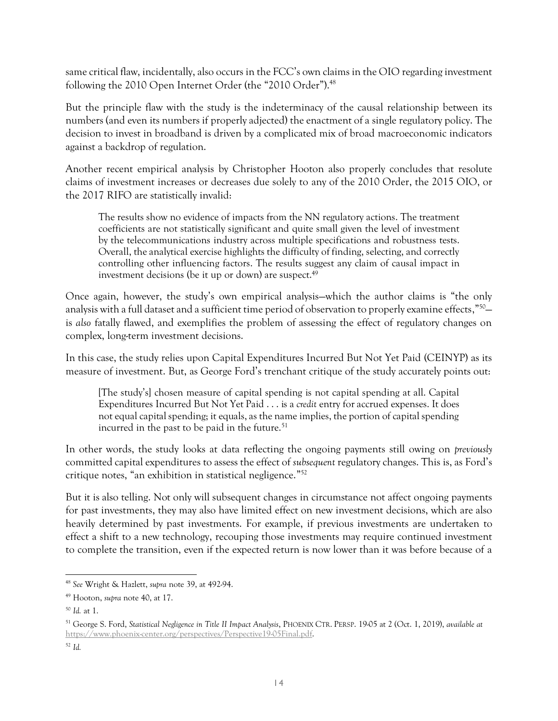same critical flaw, incidentally, also occurs in the FCC's own claims in the OIO regarding investment following the 2010 Open Internet Order (the "2010 Order"). 48

But the principle flaw with the study is the indeterminacy of the causal relationship between its numbers (and even its numbers if properly adjected) the enactment of a single regulatory policy. The decision to invest in broadband is driven by a complicated mix of broad macroeconomic indicators against a backdrop of regulation.

Another recent empirical analysis by Christopher Hooton also properly concludes that resolute claims of investment increases or decreases due solely to any of the 2010 Order, the 2015 OIO, or the 2017 RIFO are statistically invalid:

The results show no evidence of impacts from the NN regulatory actions. The treatment coefficients are not statistically significant and quite small given the level of investment by the telecommunications industry across multiple specifications and robustness tests. Overall, the analytical exercise highlights the difficulty of finding, selecting, and correctly controlling other influencing factors. The results suggest any claim of causal impact in investment decisions (be it up or down) are suspect.<sup>49</sup>

Once again, however, the study's own empirical analysis—which the author claims is "the only analysis with a full dataset and a sufficient time period of observation to properly examine effects,"<sup>50</sup> is *also* fatally flawed, and exemplifies the problem of assessing the effect of regulatory changes on complex, long-term investment decisions.

In this case, the study relies upon Capital Expenditures Incurred But Not Yet Paid (CEINYP) as its measure of investment. But, as George Ford's trenchant critique of the study accurately points out:

[The study's] chosen measure of capital spending is not capital spending at all. Capital Expenditures Incurred But Not Yet Paid . . . is a *credit* entry for accrued expenses. It does not equal capital spending; it equals, as the name implies, the portion of capital spending incurred in the past to be paid in the future.<sup>51</sup>

In other words, the study looks at data reflecting the ongoing payments still owing on *previously*  committed capital expenditures to assess the effect of *subsequent* regulatory changes. This is, as Ford's critique notes, "an exhibition in statistical negligence." 52

But it is also telling. Not only will subsequent changes in circumstance not affect ongoing payments for past investments, they may also have limited effect on new investment decisions, which are also heavily determined by past investments. For example, if previous investments are undertaken to effect a shift to a new technology, recouping those investments may require continued investment to complete the transition, even if the expected return is now lower than it was before because of a

<sup>48</sup> *See* Wright & Hazlett, *supra* not[e 39,](#page-13-0) at 492-94.

<sup>49</sup> Hooton, *supra* not[e 40,](#page-13-1) at 17.

<sup>50</sup> *Id.* at 1.

<sup>51</sup> George S. Ford, *Statistical Negligence in Title II Impact Analysis*, PHOENIX CTR. PERSP. 19-05 at 2 (Oct. 1, 2019), *available at* [https://www.phoenix-center.org/perspectives/Perspective19-05Final.pdf.](https://www.phoenix-center.org/perspectives/Perspective19-05Final.pdf) 

<sup>52</sup> *Id.*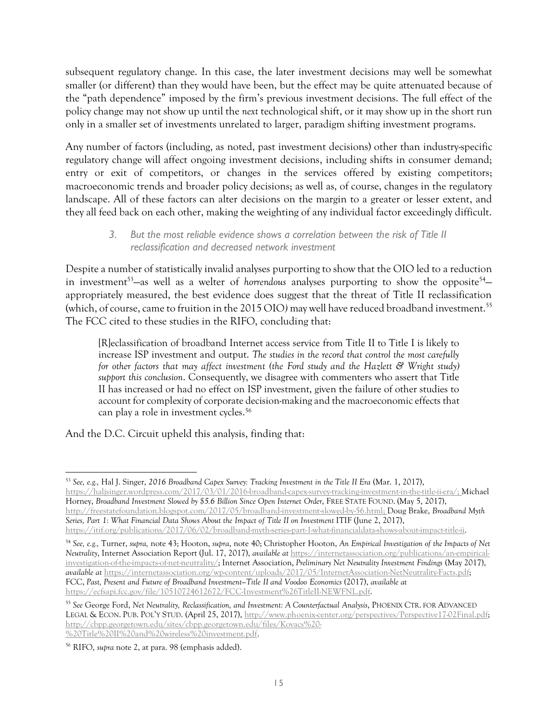subsequent regulatory change. In this case, the later investment decisions may well be somewhat smaller (or different) than they would have been, but the effect may be quite attenuated because of the "path dependence" imposed by the firm's previous investment decisions. The full effect of the policy change may not show up until the *next* technological shift, or it may show up in the short run only in a smaller set of investments unrelated to larger, paradigm shifting investment programs.

Any number of factors (including, as noted, past investment decisions) other than industry-specific regulatory change will affect ongoing investment decisions, including shifts in consumer demand; entry or exit of competitors, or changes in the services offered by existing competitors; macroeconomic trends and broader policy decisions; as well as, of course, changes in the regulatory landscape. All of these factors can alter decisions on the margin to a greater or lesser extent, and they all feed back on each other, making the weighting of any individual factor exceedingly difficult.

#### <span id="page-16-0"></span>*3. But the most reliable evidence shows a correlation between the risk of Title II reclassification and decreased network investment*

Despite a number of statistically invalid analyses purporting to show that the OIO led to a reduction in investment<sup>53</sup>—as well as a welter of *horrendous* analyses purporting to show the opposite<sup>54</sup> appropriately measured, the best evidence does suggest that the threat of Title II reclassification (which, of course, came to fruition in the 2015 OIO) may well have reduced broadband investment.<sup>55</sup> The FCC cited to these studies in the RIFO, concluding that:

[R]eclassification of broadband Internet access service from Title II to Title I is likely to increase ISP investment and output. *The studies in the record that control the most carefully for other factors that may affect investment (the Ford study and the Hazlett & Wright study) support this conclusion*. Consequently, we disagree with commenters who assert that Title II has increased or had no effect on ISP investment, given the failure of other studies to account for complexity of corporate decision-making and the macroeconomic effects that can play a role in investment cycles.<sup>56</sup>

And the D.C. Circuit upheld this analysis, finding that:

[https://itif.org/publications/2017/06/02/broadband-myth-series-part-1-what-financialdata-shows-about-impact-title-ii.](https://itif.org/publications/2017/06/02/broadband-myth-series-part-1-what-financialdata-shows-about-impact-title-ii)

<sup>53</sup> *See, e.g.,* Hal J. Singer, *2016 Broadband Capex Survey: Tracking Investment in the Title II Era* (Mar. 1, 2017), [https://haljsinger.wordpress.com/2017/03/01/2016-broadband-capex-survey-tracking-investment-in-the-title-ii-era/;](https://haljsinger.wordpress.com/2017/03/01/2016-broadband-capex-survey-tracking-investment-in-the-title-ii-era/) Michael Horney, *Broadband Investment Slowed by \$5.6 Billion Since Open Internet Order*, FREE STATE FOUND. (May 5, 2017), [http://freestatefoundation.blogspot.com/2017/05/broadband-investment-slowed-by-56.html;](http://freestatefoundation.blogspot.com/2017/05/broadband-investment-slowed-by-56.html) Doug Brake, *Broadband Myth Series, Part 1: What Financial Data Shows About the Impact of Title II on Investment* ITIF (June 2, 2017),

<sup>54</sup> *See, e.g.,* Turner, *supra,* not[e 43;](#page-14-0) Hooton, *supra*, not[e 40;](#page-13-1) Christopher Hooton, *An Empirical Investigation of the Impacts of Net Neutrality*, Internet Association Report (Jul. 17, 2017), *available at* [https://internetassociation.org/publications/an-empirical](https://internetassociation.org/publications/an-empirical-investigation-of-the-impacts-of-net-neutrality/)[investigation-of-the-impacts-of-net-neutrality/;](https://internetassociation.org/publications/an-empirical-investigation-of-the-impacts-of-net-neutrality/) Internet Association, *Preliminary Net Neutrality Investment Findings* (May 2017), *available at* [https://internetassociation.org/wp-content/uploads/2017/05/InternetAssociation-NetNeutrality-Facts.pdf;](https://internetassociation.org/wp-content/uploads/2017/05/InternetAssociation-NetNeutrality-Facts.pdf) FCC, *Past, Present and Future of Broadband Investment—Title II and Voodoo Economics* **(**2017), *available at* [https://ecfsapi.fcc.gov/file/10510724612672/FCC-Investment%26TitleII-NEWFNL.pdf.](https://ecfsapi.fcc.gov/file/10510724612672/FCC-Investment%26TitleII-NEWFNL.pdf)

<sup>55</sup> *See* George Ford, *Net Neutrality, Reclassification, and Investment: A Counterfactual Analysis*, PHOENIX CTR. FOR ADVANCED LEGAL & ECON. PUB. POL'Y STUD. (April 25, 2017), [http://www.phoenix-center.org/perspectives/Perspective17-02Final.pdf;](http://www.phoenix-center.org/perspectives/Perspective17-02Final.pdf)  [http://cbpp.georgetown.edu/sites/cbpp.georgetown.edu/files/Kovacs%20-](http://cbpp.georgetown.edu/sites/cbpp.georgetown.edu/files/Kovacs%20-%20Title%20II%20and%20wireless%20investment.pdf) [%20Title%20II%20and%20wireless%20investment.pdf.](http://cbpp.georgetown.edu/sites/cbpp.georgetown.edu/files/Kovacs%20-%20Title%20II%20and%20wireless%20investment.pdf)

<sup>56</sup> RIFO, *supra* not[e 2,](#page-2-1) at para. 98 (emphasis added).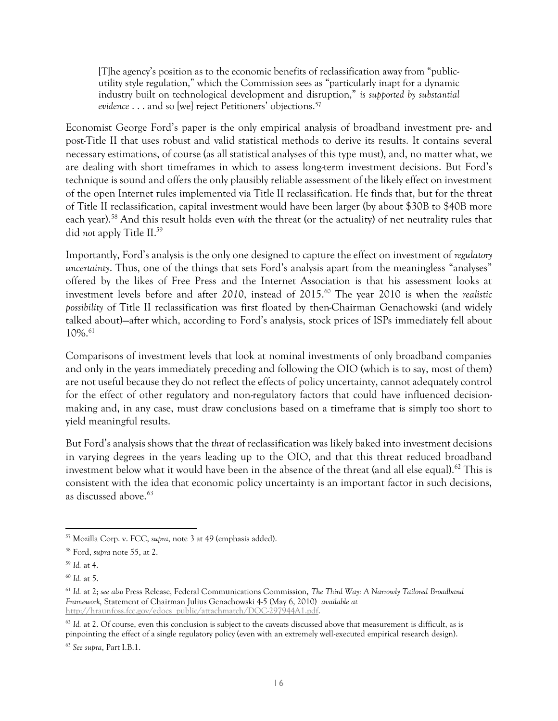[T]he agency's position as to the economic benefits of reclassification away from "publicutility style regulation," which the Commission sees as "particularly inapt for a dynamic industry built on technological development and disruption," *is supported by substantial evidence* . . . and so [we] reject Petitioners' objections.<sup>57</sup>

Economist George Ford's paper is the only empirical analysis of broadband investment pre- and post-Title II that uses robust and valid statistical methods to derive its results. It contains several necessary estimations, of course (as all statistical analyses of this type must), and, no matter what, we are dealing with short timeframes in which to assess long-term investment decisions. But Ford's technique is sound and offers the only plausibly reliable assessment of the likely effect on investment of the open Internet rules implemented via Title II reclassification. He finds that, but for the threat of Title II reclassification, capital investment would have been larger (by about \$30B to \$40B more each year).<sup>58</sup> And this result holds even *with* the threat (or the actuality) of net neutrality rules that did *not* apply Title II. 59

Importantly, Ford's analysis is the only one designed to capture the effect on investment of *regulatory uncertainty*. Thus, one of the things that sets Ford's analysis apart from the meaningless "analyses" offered by the likes of Free Press and the Internet Association is that his assessment looks at investment levels before and after *2010*, instead of 2015. <sup>60</sup> The year 2010 is when the *realistic possibility* of Title II reclassification was first floated by then-Chairman Genachowski (and widely talked about)—after which, according to Ford's analysis, stock prices of ISPs immediately fell about 10%.<sup>61</sup>

Comparisons of investment levels that look at nominal investments of only broadband companies and only in the years immediately preceding and following the OIO (which is to say, most of them) are not useful because they do not reflect the effects of policy uncertainty, cannot adequately control for the effect of other regulatory and non-regulatory factors that could have influenced decisionmaking and, in any case, must draw conclusions based on a timeframe that is simply too short to yield meaningful results.

But Ford's analysis shows that the *threat* of reclassification was likely baked into investment decisions in varying degrees in the years leading up to the OIO, and that this threat reduced broadband investment below what it would have been in the absence of the threat (and all else equal). <sup>62</sup> This is consistent with the idea that economic policy uncertainty is an important factor in such decisions, as discussed above.<sup>63</sup>

 $62$  *Id.* at 2. Of course, even this conclusion is subject to the caveats discussed above that measurement is difficult, as is pinpointing the effect of a single regulatory policy (even with an extremely well-executed empirical research design).

<sup>63</sup> *See supra*, Part [I.B.1.](#page-10-0)

<sup>57</sup> Mozilla Corp. v. FCC, *supra*, not[e 3](#page-3-0) at 49 (emphasis added).

<sup>58</sup> Ford, *supra* not[e 55,](#page-16-0) at 2.

<sup>59</sup> *Id.* at 4.

<sup>60</sup> *Id.* at 5.

<sup>61</sup> *Id.* at 2; *see also* Press Release, Federal Communications Commission, *The Third Way: A Narrowly Tailored Broadband Framework,* Statement of Chairman Julius Genachowski 4-5 (May 6, 2010) *available at* [http://hraunfoss.fcc.gov/edocs\\_public/attachmatch/DOC-297944A1.pdf.](http://hraunfoss.fcc.gov/edocs_public/attachmatch/DOC-297944A1.pdf)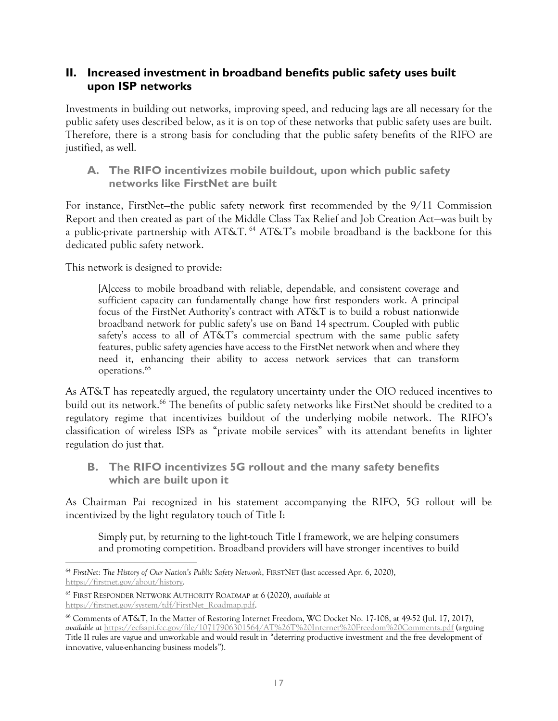# **II. Increased investment in broadband benefits public safety uses built upon ISP networks**

Investments in building out networks, improving speed, and reducing lags are all necessary for the public safety uses described below, as it is on top of these networks that public safety uses are built. Therefore, there is a strong basis for concluding that the public safety benefits of the RIFO are justified, as well.

**A. The RIFO incentivizes mobile buildout, upon which public safety networks like FirstNet are built**

For instance, FirstNet—the public safety network first recommended by the 9/11 Commission Report and then created as part of the Middle Class Tax Relief and Job Creation Act—was built by a public-private partnership with AT&T. <sup>64</sup> AT&T's mobile broadband is the backbone for this dedicated public safety network.

This network is designed to provide:

[A]ccess to mobile broadband with reliable, dependable, and consistent coverage and sufficient capacity can fundamentally change how first responders work. A principal focus of the FirstNet Authority's contract with AT&T is to build a robust nationwide broadband network for public safety's use on Band 14 spectrum. Coupled with public safety's access to all of AT&T's commercial spectrum with the same public safety features, public safety agencies have access to the FirstNet network when and where they need it, enhancing their ability to access network services that can transform operations.<sup>65</sup>

As AT&T has repeatedly argued, the regulatory uncertainty under the OIO reduced incentives to build out its network.<sup>66</sup> The benefits of public safety networks like FirstNet should be credited to a regulatory regime that incentivizes buildout of the underlying mobile network. The RIFO's classification of wireless ISPs as "private mobile services" with its attendant benefits in lighter regulation do just that.

**B. The RIFO incentivizes 5G rollout and the many safety benefits which are built upon it**

As Chairman Pai recognized in his statement accompanying the RIFO, 5G rollout will be incentivized by the light regulatory touch of Title I:

Simply put, by returning to the light-touch Title I framework, we are helping consumers and promoting competition. Broadband providers will have stronger incentives to build

<sup>64</sup> *FirstNet: The History of Our Nation's Public Safety Network*, FIRSTNET (last accessed Apr. 6, 2020), [https://firstnet.gov/about/history.](https://firstnet.gov/about/history)

<sup>65</sup> FIRST RESPONDER NETWORK AUTHORITY ROADMAP at 6 (2020), *available at*  [https://firstnet.gov/system/tdf/FirstNet\\_Roadmap.pdf.](https://firstnet.gov/system/tdf/FirstNet_Roadmap.pdf)

<sup>66</sup> Comments of AT&T, In the Matter of Restoring Internet Freedom, WC Docket No. 17-108, at 49-52 (Jul. 17, 2017), *available at* <https://ecfsapi.fcc.gov/file/10717906301564/AT%26T%20Internet%20Freedom%20Comments.pdf> (arguing Title II rules are vague and unworkable and would result in "deterring productive investment and the free development of innovative, value-enhancing business models").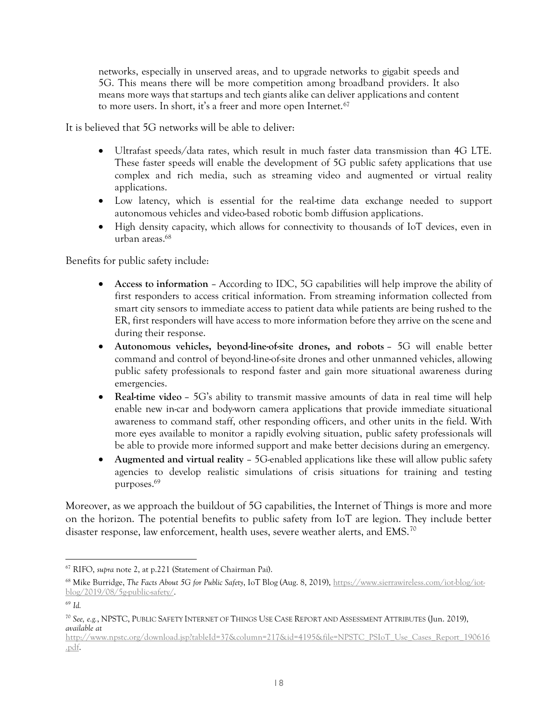networks, especially in unserved areas, and to upgrade networks to gigabit speeds and 5G. This means there will be more competition among broadband providers. It also means more ways that startups and tech giants alike can deliver applications and content to more users. In short, it's a freer and more open Internet.<sup>67</sup>

It is believed that 5G networks will be able to deliver:

- Ultrafast speeds/data rates, which result in much faster data transmission than 4G LTE. These faster speeds will enable the development of 5G public safety applications that use complex and rich media, such as streaming video and augmented or virtual reality applications.
- Low latency, which is essential for the real-time data exchange needed to support autonomous vehicles and video-based robotic bomb diffusion applications.
- High density capacity, which allows for connectivity to thousands of IoT devices, even in urban areas.<sup>68</sup>

Benefits for public safety include:

- **Access to information** According to IDC, 5G capabilities will help improve the ability of first responders to access critical information. From streaming information collected from smart city sensors to immediate access to patient data while patients are being rushed to the ER, first responders will have access to more information before they arrive on the scene and during their response.
- **Autonomous vehicles, beyond-line-of-site drones, and robots** 5G will enable better command and control of beyond-line-of-site drones and other unmanned vehicles, allowing public safety professionals to respond faster and gain more situational awareness during emergencies.
- **Real-time video** 5G's ability to transmit massive amounts of data in real time will help enable new in-car and body-worn camera applications that provide immediate situational awareness to command staff, other responding officers, and other units in the field. With more eyes available to monitor a rapidly evolving situation, public safety professionals will be able to provide more informed support and make better decisions during an emergency.
- **Augmented and virtual reality** 5G-enabled applications like these will allow public safety agencies to develop realistic simulations of crisis situations for training and testing purposes.<sup>69</sup>

Moreover, as we approach the buildout of 5G capabilities, the Internet of Things is more and more on the horizon. The potential benefits to public safety from IoT are legion. They include better disaster response, law enforcement, health uses, severe weather alerts, and EMS.<sup>70</sup>

<sup>67</sup> RIFO, *supra* not[e 2,](#page-2-1) at p.221 (Statement of Chairman Pai).

<sup>68</sup> Mike Burridge, *The Facts About 5G for Public Safety*, IoT Blog (Aug. 8, 2019)[, https://www.sierrawireless.com/iot-blog/iot](https://www.sierrawireless.com/iot-blog/iot-blog/2019/08/5g-public-safety/)[blog/2019/08/5g-public-safety/.](https://www.sierrawireless.com/iot-blog/iot-blog/2019/08/5g-public-safety/)

<sup>69</sup> *Id.*

<sup>70</sup> *See, e.g.*, NPSTC, PUBLIC SAFETY INTERNET OF THINGS USE CASE REPORT AND ASSESSMENT ATTRIBUTES (Jun. 2019), *available at*

[http://www.npstc.org/download.jsp?tableId=37&column=217&id=4195&file=NPSTC\\_PSIoT\\_Use\\_Cases\\_Report\\_190616](http://www.npstc.org/download.jsp?tableId=37&column=217&id=4195&file=NPSTC_PSIoT_Use_Cases_Report_190616.pdf) [.pdf.](http://www.npstc.org/download.jsp?tableId=37&column=217&id=4195&file=NPSTC_PSIoT_Use_Cases_Report_190616.pdf)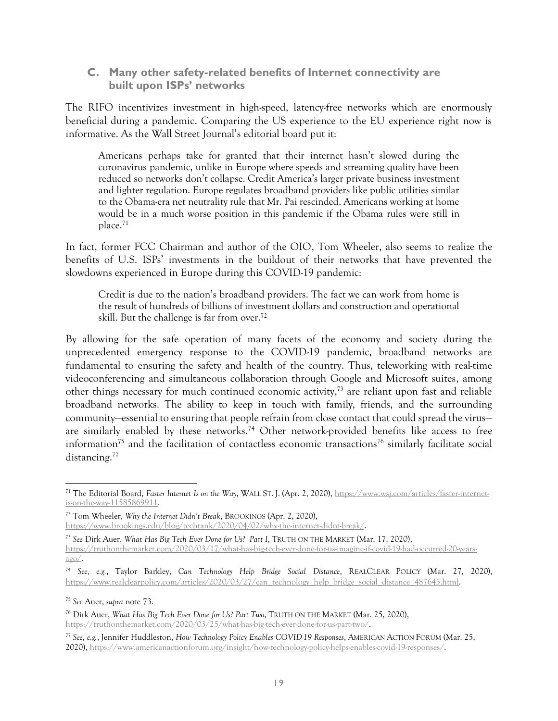### **C. Many other safety-related benefits of Internet connectivity are built upon ISPs' networks**

The RIFO incentivizes investment in high-speed, latency-free networks which are enormously beneficial during a pandemic. Comparing the US experience to the EU experience right now is informative. As the Wall Street Journal's editorial board put it:

Americans perhaps take for granted that their internet hasn't slowed during the coronavirus pandemic, unlike in Europe where speeds and streaming quality have been reduced so networks don't collapse. Credit America's larger private business investment and lighter regulation. Europe regulates broadband providers like public utilities similar to the Obama-era net neutrality rule that Mr. Pai rescinded. Americans working at home would be in a much worse position in this pandemic if the Obama rules were still in place.<sup>71</sup>

In fact, former FCC Chairman and author of the OIO, Tom Wheeler, also seems to realize the benefits of U.S. ISPs' investments in the buildout of their networks that have prevented the slowdowns experienced in Europe during this COVID-19 pandemic:

<span id="page-20-0"></span>Credit is due to the nation's broadband providers. The fact we can work from home is the result of hundreds of billions of investment dollars and construction and operational skill. But the challenge is far from over.<sup>72</sup>

By allowing for the safe operation of many facets of the economy and society during the unprecedented emergency response to the COVID-19 pandemic, broadband networks are fundamental to ensuring the safety and health of the country. Thus, teleworking with real-time videoconferencing and simultaneous collaboration through Google and Microsoft suites, among other things necessary for much continued economic activity, <sup>73</sup> are reliant upon fast and reliable broadband networks. The ability to keep in touch with family, friends, and the surrounding community—essential to ensuring that people refrain from close contact that could spread the virus are similarly enabled by these networks.<sup>74</sup> Other network-provided benefits like access to free information<sup>75</sup> and the facilitation of contactless economic transactions<sup>76</sup> similarly facilitate social distancing.<sup>77</sup>

<sup>75</sup> *See* Auer, *supra* not[e 73.](#page-20-0)

<sup>71</sup> The Editorial Board, *Faster Internet Is on the Way*, WALL ST. J. (Apr. 2, 2020), [https://www.wsj.com/articles/faster-internet](https://www.wsj.com/articles/faster-internet-is-on-the-way-11585869911)[is-on-the-way-11585869911.](https://www.wsj.com/articles/faster-internet-is-on-the-way-11585869911)

<sup>72</sup> Tom Wheeler, *Why the Internet Didn't Break*, BROOKINGS (Apr. 2, 2020), [https://www.brookings.edu/blog/techtank/2020/04/02/why-the-internet-didnt-break/.](https://www.brookings.edu/blog/techtank/2020/04/02/why-the-internet-didnt-break/)

<sup>73</sup> *See* Dirk Auer, *What Has Big Tech Ever Done for Us? Part I*, TRUTH ON THE MARKET (Mar. 17, 2020), [https://truthonthemarket.com/2020/03/17/what-has-big-tech-ever-done-for-us-imagine-if-covid-19-had-occurred-20-years](https://truthonthemarket.com/2020/03/17/what-has-big-tech-ever-done-for-us-imagine-if-covid-19-had-occurred-20-years-ago/)[ago/.](https://truthonthemarket.com/2020/03/17/what-has-big-tech-ever-done-for-us-imagine-if-covid-19-had-occurred-20-years-ago/)

<sup>74</sup> *See, e.g.*, Taylor Barkley, *Can Technology Help Bridge Social Distance*, REALCLEAR POLICY (Mar. 27, 2020), [https://www.realclearpolicy.com/articles/2020/03/27/can\\_technology\\_help\\_bridge\\_social\\_distance\\_487645.html.](https://www.realclearpolicy.com/articles/2020/03/27/can_technology_help_bridge_social_distance_487645.html)

<sup>76</sup> Dirk Auer, *What Has Big Tech Ever Done for Us? Part Two*, TRUTH ON THE MARKET (Mar. 25, 2020), [https://truthonthemarket.com/2020/03/25/what-has-big-tech-ever-done-for-us-part-two/.](https://truthonthemarket.com/2020/03/25/what-has-big-tech-ever-done-for-us-part-two/)

<sup>77</sup> *See, e.g.*, Jennifer Huddleston, *How Technology Policy Enables COVID-19 Responses*, AMERICAN ACTION FORUM (Mar. 25, 2020)[, https://www.americanactionforum.org/insight/how-technology-policy-helps-enables-covid-19-responses/.](https://www.americanactionforum.org/insight/how-technology-policy-helps-enables-covid-19-responses/)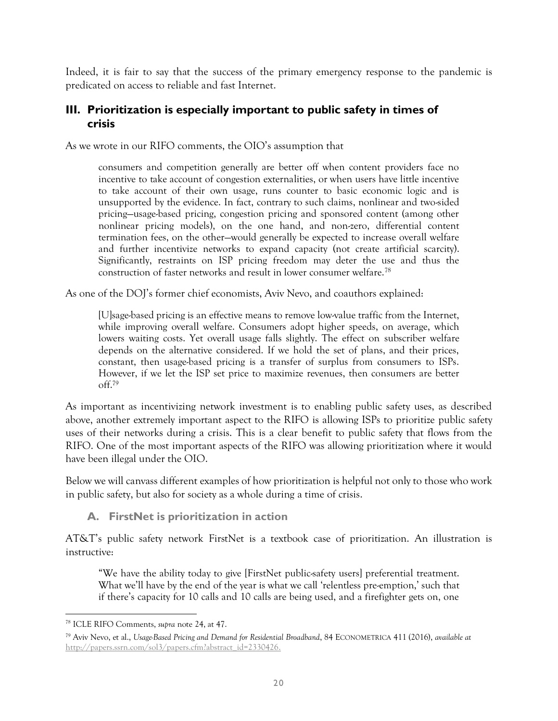Indeed, it is fair to say that the success of the primary emergency response to the pandemic is predicated on access to reliable and fast Internet.

# **III. Prioritization is especially important to public safety in times of crisis**

As we wrote in our RIFO comments, the OIO's assumption that

consumers and competition generally are better off when content providers face no incentive to take account of congestion externalities, or when users have little incentive to take account of their own usage, runs counter to basic economic logic and is unsupported by the evidence. In fact, contrary to such claims, nonlinear and two-sided pricing—usage-based pricing, congestion pricing and sponsored content (among other nonlinear pricing models), on the one hand, and non-zero, differential content termination fees, on the other—would generally be expected to increase overall welfare and further incentivize networks to expand capacity (not create artificial scarcity). Significantly, restraints on ISP pricing freedom may deter the use and thus the construction of faster networks and result in lower consumer welfare.<sup>78</sup>

As one of the DOJ's former chief economists, Aviv Nevo, and coauthors explained:

[U]sage-based pricing is an effective means to remove low-value traffic from the Internet, while improving overall welfare. Consumers adopt higher speeds, on average, which lowers waiting costs. Yet overall usage falls slightly. The effect on subscriber welfare depends on the alternative considered. If we hold the set of plans, and their prices, constant, then usage-based pricing is a transfer of surplus from consumers to ISPs. However, if we let the ISP set price to maximize revenues, then consumers are better off.<sup>79</sup>

As important as incentivizing network investment is to enabling public safety uses, as described above, another extremely important aspect to the RIFO is allowing ISPs to prioritize public safety uses of their networks during a crisis. This is a clear benefit to public safety that flows from the RIFO. One of the most important aspects of the RIFO was allowing prioritization where it would have been illegal under the OIO.

Below we will canvass different examples of how prioritization is helpful not only to those who work in public safety, but also for society as a whole during a time of crisis.

**A. FirstNet is prioritization in action**

AT&T's public safety network FirstNet is a textbook case of prioritization. An illustration is instructive:

"We have the ability today to give [FirstNet public-safety users] preferential treatment. What we'll have by the end of the year is what we call 'relentless pre-emption,' such that if there's capacity for 10 calls and 10 calls are being used, and a firefighter gets on, one

<sup>78</sup> ICLE RIFO Comments, *supra* not[e 24,](#page-9-0) at 47.

<sup>79</sup> Aviv Nevo, et al., *Usage-Based Pricing and Demand for Residential Broadband*, 84 ECONOMETRICA 411 (2016), *available at* [http://papers.ssrn.com/sol3/papers.cfm?abstract\\_id=2330426.](http://papers.ssrn.com/sol3/papers.cfm?abstract_id=2330426)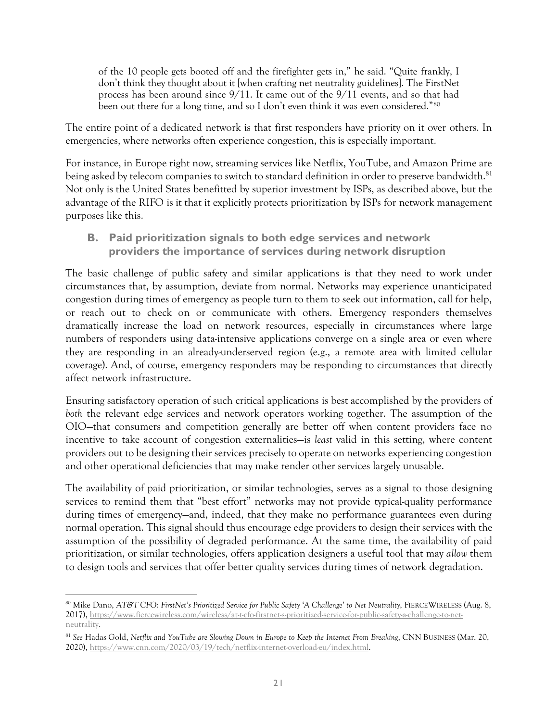of the 10 people gets booted off and the firefighter gets in," he said. "Quite frankly, I don't think they thought about it [when crafting net neutrality guidelines]. The FirstNet process has been around since 9/11. It came out of the 9/11 events, and so that had been out there for a long time, and so I don't even think it was even considered."<sup>80</sup>

The entire point of a dedicated network is that first responders have priority on it over others. In emergencies, where networks often experience congestion, this is especially important.

For instance, in Europe right now, streaming services like Netflix, YouTube, and Amazon Prime are being asked by telecom companies to switch to standard definition in order to preserve bandwidth.<sup>81</sup> Not only is the United States benefitted by superior investment by ISPs, as described above, but the advantage of the RIFO is it that it explicitly protects prioritization by ISPs for network management purposes like this.

# **B. Paid prioritization signals to both edge services and network providers the importance of services during network disruption**

The basic challenge of public safety and similar applications is that they need to work under circumstances that, by assumption, deviate from normal. Networks may experience unanticipated congestion during times of emergency as people turn to them to seek out information, call for help, or reach out to check on or communicate with others. Emergency responders themselves dramatically increase the load on network resources, especially in circumstances where large numbers of responders using data-intensive applications converge on a single area or even where they are responding in an already-underserved region (e.g., a remote area with limited cellular coverage). And, of course, emergency responders may be responding to circumstances that directly affect network infrastructure.

Ensuring satisfactory operation of such critical applications is best accomplished by the providers of *both* the relevant edge services and network operators working together. The assumption of the OIO—that consumers and competition generally are better off when content providers face no incentive to take account of congestion externalities—is *least* valid in this setting, where content providers out to be designing their services precisely to operate on networks experiencing congestion and other operational deficiencies that may make render other services largely unusable.

The availability of paid prioritization, or similar technologies, serves as a signal to those designing services to remind them that "best effort" networks may not provide typical-quality performance during times of emergency—and, indeed, that they make no performance guarantees even during normal operation. This signal should thus encourage edge providers to design their services with the assumption of the possibility of degraded performance. At the same time, the availability of paid prioritization, or similar technologies, offers application designers a useful tool that may *allow* them to design tools and services that offer better quality services during times of network degradation.

<sup>80</sup> Mike Dano, *AT&T CFO: FirstNet's Prioritized Service for Public Safety 'A Challenge' to Net Neutrality*, FIERCEWIRELESS (Aug. 8, 2017)[, https://www.fiercewireless.com/wireless/at-t-cfo-firstnet-s-prioritized-service-for-public-safety-a-challenge-to-net](https://www.fiercewireless.com/wireless/at-t-cfo-firstnet-s-prioritized-service-for-public-safety-a-challenge-to-net-neutrality)[neutrality.](https://www.fiercewireless.com/wireless/at-t-cfo-firstnet-s-prioritized-service-for-public-safety-a-challenge-to-net-neutrality)

<sup>81</sup> *See* Hadas Gold, *Netflix and YouTube are Slowing Down in Europe to Keep the Internet From Breaking*, CNN BUSINESS (Mar. 20, 2020)[, https://www.cnn.com/2020/03/19/tech/netflix-internet-overload-eu/index.html.](https://www.cnn.com/2020/03/19/tech/netflix-internet-overload-eu/index.html)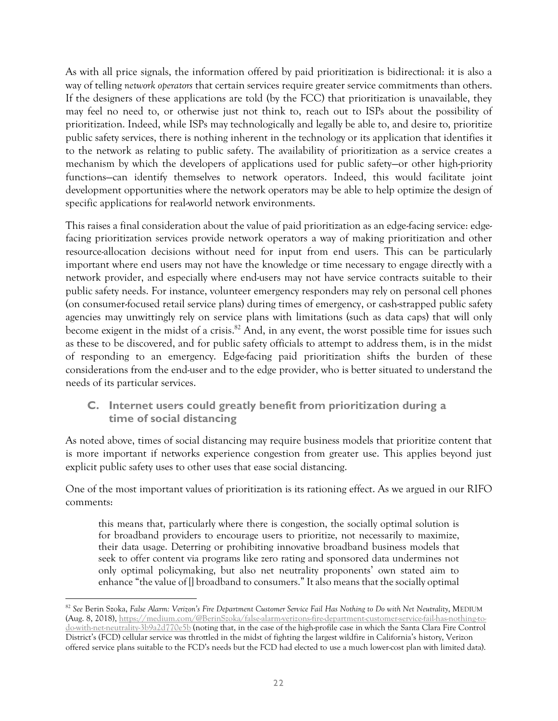As with all price signals, the information offered by paid prioritization is bidirectional: it is also a way of telling *network operators* that certain services require greater service commitments than others. If the designers of these applications are told (by the FCC) that prioritization is unavailable, they may feel no need to, or otherwise just not think to, reach out to ISPs about the possibility of prioritization. Indeed, while ISPs may technologically and legally be able to, and desire to, prioritize public safety services, there is nothing inherent in the technology or its application that identifies it to the network as relating to public safety. The availability of prioritization as a service creates a mechanism by which the developers of applications used for public safety—or other high-priority functions—can identify themselves to network operators. Indeed, this would facilitate joint development opportunities where the network operators may be able to help optimize the design of specific applications for real-world network environments.

This raises a final consideration about the value of paid prioritization as an edge-facing service: edgefacing prioritization services provide network operators a way of making prioritization and other resource-allocation decisions without need for input from end users. This can be particularly important where end users may not have the knowledge or time necessary to engage directly with a network provider, and especially where end-users may not have service contracts suitable to their public safety needs. For instance, volunteer emergency responders may rely on personal cell phones (on consumer-focused retail service plans) during times of emergency, or cash-strapped public safety agencies may unwittingly rely on service plans with limitations (such as data caps) that will only become exigent in the midst of a crisis. <sup>82</sup> And, in any event, the worst possible time for issues such as these to be discovered, and for public safety officials to attempt to address them, is in the midst of responding to an emergency. Edge-facing paid prioritization shifts the burden of these considerations from the end-user and to the edge provider, who is better situated to understand the needs of its particular services.

# **C. Internet users could greatly benefit from prioritization during a time of social distancing**

As noted above, times of social distancing may require business models that prioritize content that is more important if networks experience congestion from greater use. This applies beyond just explicit public safety uses to other uses that ease social distancing.

One of the most important values of prioritization is its rationing effect. As we argued in our RIFO comments:

this means that, particularly where there is congestion, the socially optimal solution is for broadband providers to encourage users to prioritize, not necessarily to maximize, their data usage. Deterring or prohibiting innovative broadband business models that seek to offer content via programs like zero rating and sponsored data undermines not only optimal policymaking, but also net neutrality proponents' own stated aim to enhance "the value of [] broadband to consumers." It also means that the socially optimal

<sup>82</sup> *See* Berin Szoka, *False Alarm: Verizon's Fire Department Customer Service Fail Has Nothing to Do with Net Neutrality*, MEDIUM (Aug. 8, 2018), [https://medium.com/@BerinSzoka/false-alarm-verizons-fire-department-customer-service-fail-has-nothing-to](https://medium.com/@BerinSzoka/false-alarm-verizons-fire-department-customer-service-fail-has-nothing-to-do-with-net-neutrality-3b9a2d770e5b)[do-with-net-neutrality-3b9a2d770e5b](https://medium.com/@BerinSzoka/false-alarm-verizons-fire-department-customer-service-fail-has-nothing-to-do-with-net-neutrality-3b9a2d770e5b) (noting that, in the case of the high-profile case in which the Santa Clara Fire Control District's (FCD) cellular service was throttled in the midst of fighting the largest wildfire in California's history, Verizon offered service plans suitable to the FCD's needs but the FCD had elected to use a much lower-cost plan with limited data).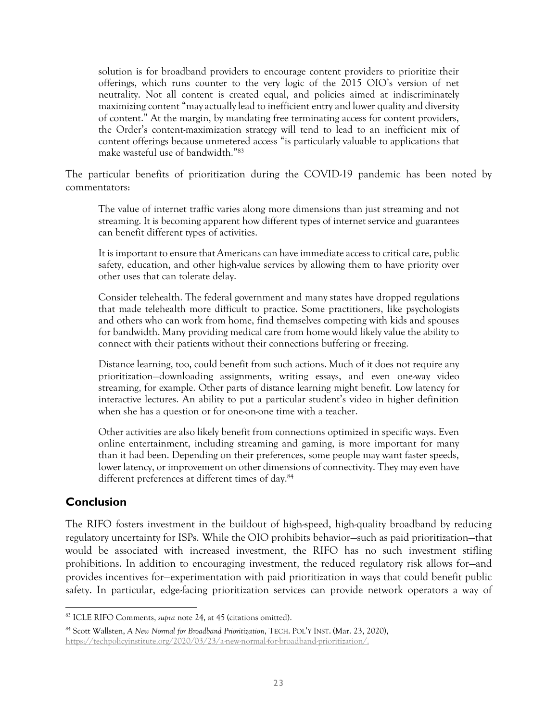solution is for broadband providers to encourage content providers to prioritize their offerings, which runs counter to the very logic of the 2015 OIO's version of net neutrality. Not all content is created equal, and policies aimed at indiscriminately maximizing content "may actually lead to inefficient entry and lower quality and diversity of content." At the margin, by mandating free terminating access for content providers, the Order's content-maximization strategy will tend to lead to an inefficient mix of content offerings because unmetered access "is particularly valuable to applications that make wasteful use of bandwidth."<sup>83</sup>

The particular benefits of prioritization during the COVID-19 pandemic has been noted by commentators:

The value of internet traffic varies along more dimensions than just streaming and not streaming. It is becoming apparent how different types of internet service and guarantees can benefit different types of activities.

It is important to ensure that Americans can have immediate access to critical care, public safety, education, and other high-value services by allowing them to have priority over other uses that can tolerate delay.

Consider telehealth. The federal government and many states have [dropped](https://www.hhs.gov/hipaa/for-professionals/special-topics/emergency-preparedness/notification-enforcement-discretion-telehealth/index.html) [regulations](https://governor.maryland.gov/2020/03/19/governor-hogan-enacts-emergency-legislation-to-enhance-ongoing-response-to-covid-19/) that made telehealth more difficult to practice. Some practitioners, like psychologists and others who can work from home, find themselves competing with kids and spouses for bandwidth. Many providing medical care from home would likely value the ability to connect with their patients without their connections buffering or freezing.

Distance learning, too, could benefit from such actions. Much of it does not require any prioritization—downloading assignments, writing essays, and even one-way video streaming, for example. Other parts of distance learning might benefit. Low latency for interactive lectures. An ability to put a particular student's video in higher definition when she has a question or for one-on-one time with a teacher.

Other activities are also likely benefit from connections optimized in specific ways. Even online entertainment, including streaming and gaming, is more important for many than it had been. Depending on their preferences, some people may want faster speeds, lower latency, or improvement on other dimensions of connectivity. They may even have different preferences at different times of day.<sup>84</sup>

### **Conclusion**

The RIFO fosters investment in the buildout of high-speed, high-quality broadband by reducing regulatory uncertainty for ISPs. While the OIO prohibits behavior—such as paid prioritization—that would be associated with increased investment, the RIFO has no such investment stifling prohibitions. In addition to encouraging investment, the reduced regulatory risk allows for—and provides incentives for—experimentation with paid prioritization in ways that could benefit public safety. In particular, edge-facing prioritization services can provide network operators a way of

<sup>83</sup> ICLE RIFO Comments, *supra* not[e 24,](#page-9-0) at 45 (citations omitted).

<sup>84</sup> Scott Wallsten, *A New Normal for Broadband Prioritization*, TECH. POL'Y INST. (Mar. 23, 2020), [https://techpolicyinstitute.org/2020/03/23/a-new-normal-for-broadband-prioritization/.](https://techpolicyinstitute.org/2020/03/23/a-new-normal-for-broadband-prioritization/)